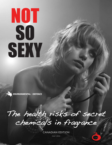# NOT SO SEXY

ENVIRONMENTAL | DEFENCE

The health risks of secret chemicals in fragrance

CANADIAN EDITION

MAY 2010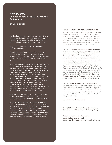## **NOT SO SEXY:**

*The health risks of secret chemicals in fragrance*

#### **CANADIAN EDITION**

by Heather Sarantis, MS, Commonweal; Olga V. Naidenko, PhD, Sean Gray, MS, and Jane Houlihan, MSCE, Environmental Working Group; and Stacy Malkan, Campaign for Safe Cosmetics

Canadian Edition Edits by Environmental Defence Canada.

Additional contributors: Lisa Archer, Breast Cancer Fund; Alexandra Gorman Scranton, Women's Voices for the Earth; Janet Nudelman, Breast Cancer Fund; Mia Davis, Clean Water Action.

The Campaign for Safe Cosmetics would like to thank the following people for their review of sections of this report: Janet Gray, PhD, Vassar College; Russ Hauser, MD, ScD, MPH, Frederick Lee Hisaw Professor of Reproductive Physiology, Professor of Environmental and Occupational Epidemiology, Harvard School of Public Health and Professor of Obstetrics, Gynecology and Reproductive Biology Harvard Medical School; Ted Schettler, MD, MPH, Science and Environmental Health Network; and Anne C. Steinemann, PhD, Professor of Civil and Environmental Engineering, Professor of Public Affairs, University of Washington.

Any errors or omissions in this report are the responsibility of the Campaign for Safe Cosmetics and Environmental Defence Canada.

Support for this project was provided by The As You Sow Foundation, The Jacob and Hilda Blaustein Fund, Johnson Family Foundation and The Richard and Rhoda Goldman Fund. Canadian product testing funding provided by Environmental Defence Canada. Environmental Defence Canada thanks the John Merck Fund and the Marisla Foundation for their support.

#### ABOUT THE **CAMPAIGN FOR SAFE COSMETICS**

*The Campaign for Safe Cosmetics is a national coalition of nonprofit women's, environmental, public health, faith and worker safety organizations. Our mission is to protect the health of consumers and workers by securing the corporate, regulatory and legislative reforms necessary to eliminate dangerous chemicals from cosmetics and personal care products.* 

#### ABOUT THE **ENVIRONMENTAL WORKING GROUP**

*Environmental Working Group (EWG) is a nonprofit research and advocacy organization based in Washington DC and founded in 1993. Our team of scientists, engineers, policy experts, lawyers and computer programmers pores over government data, legal documents, scientific studies and our own laboratory tests to expose threats to your health and the environment, and to find solutions. The mission of the Environmental Working Group (EWG) is to use the power of public information to protect public health and the environment. EWG specializes in providing useful resources (like Skin Deep and the Shoppers' Guide to Pesticides in Produce) to consumers while simultaneously pushing for national policy change.*

#### ABOUT **ENVIRONMENTAL DEFENCE CANADA**

*Environmental Defence protects the environment and human health. We research. We educate. We go to court when we have to. All in order to ensure clean air, clean water and thriving ecosystems nationwide, and to bring a halt to Canada's contribution to climate change. Nationwide.* 

#### **www.environmentaldefence.ca**

Copyright May 2010 by the Breast Cancer Fund, Commonweal and Environmental Working Group.

Visit **www.environmentaldefence.ca**, **www.SafeCosmetics.org** and **www.CosmeticDatabase.com** for more information.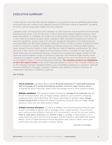# **EXECUTIVE SUMMARY**

A rose may be a rose. But that rose-like fragrance in your perfume may be something else entirely, concocted from any number of the fragrance industry's 3,100 stock chemical ingredients, the blend of which is almost always kept hidden from the consumer.

Laboratory tests commissioned by the Campaign for Safe Cosmetics and analyzed by Environmental Working Group found, in all, 40 chemicals in the 17 name-brand tested fragrance products. 38 of these were secret, or unlabelled, for at least one of the products containing them, while the other 2 were listed on all relevant product labels. Ingredient labels disclosed the presence of another 51 chemical ingredients, giving a total of 91 chemical ingredients altogether in the tested products, including hidden and disclosed ingredients combined. Of the 17 products tested, 13 were purchased in the U.S. and four in Canada. The Canadian-purchased products are American Eagle Seventy Seven, Acqua Di Gio by Giorgio Armani, Light Blue by Dolce & Gabbana, and Quiksilver (for men) and were, in fact, some of the highest scoring products in terms of number of total chemicals, secret chemicals, and sensitizing chemicals. Acqua Di Gio contained the highest number of total chemicals and the highest number of sensitizing chemicals, and American Eagle Seventy Seven contained the highest number of secret chemicals. Quiksilver (for men) was tied with two others for the highest number of hormone disrupting chemicals. **The Canadian products are highlighted in red in the report's charts.** None of the chemicals labelled or found in the Canadian products are on the Canadian Cosmetic Ingredient Hotlist, a list of prohibited substances in cosmetics, although some are restricted in European cosmetics. Products were tested by Analytical Sciences, an independent laboratory in Petaluma, California.

Key findings:

- **• Secret chemicals:** Laboratory tests revealed 38 secret chemicals in 17 name-brand products, with an average of 14 secret chemicals per product. American Eagle Seventy Seven contained 24 secret chemicals, nearly twice the average found in other products tested.
- **• Multiple sensitizers:** The products tested contained an average of 10 chemicals that are known to be sensitizers and can trigger allergic reactions, such as asthma, wheezing, headaches and contact dermatitis. All of these were listed on product labels. Giorgio Armani Acqua Di Gio contained 19 different sensitizing chemicals that can trigger allergic reactions, more than any other product tested.
- **• Multiple hormone disruptors:** A total of 12 different hormone-disrupting chemicals were found in the tested products, with an average of four in each product. Three products each contained seven different chemicals with the potential to disrupt the hormone system: Halle by Halle Berry, Quiksilver and Jennifer Lopez J. Lo Glow. In each product, six of these chemicals mimic the hormone estrogen, and the seventh is associated with thyroid effects. Some of these potential hormone disruptors were listed on labels; others were undisclosed and were uncovered in product testing.

*continued on next page…*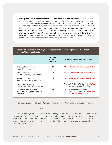**• Widespread use of chemicals that have not been assessed for safety:** Health Canada does not systematically test fragrance ingredients for safety in personal care products. The Cosmetic Ingredient Review (CIR), an industry-funded and self-policing body, has assessed only 19 of the 91 ingredients listed on labels or found in testing for the 17 products assessed in this study. The International Fragrance Association (IFRA) and the Research Institute for Fragrance Materials (RIFM), which develop and set voluntary standards for chemicals in the "fragrance" component of products, have assessed only 27 of the 91 ingredients listed on labels or found in testing for the 17 products assessed in this study, based on a review of assessments published in the past 25 years.

#### *Results at a glance for all fragrance ingredients combined (disclosed on label or revealed in product tests)*

|                                                                     | Average<br>for all 17<br>fragrances | Extreme product (highest number)                                                                       |
|---------------------------------------------------------------------|-------------------------------------|--------------------------------------------------------------------------------------------------------|
| <b>Chemical ingredients</b><br>(tested + labeled)                   | 29                                  | 40 Giorgio Armani Acqua Di Gio                                                                         |
| Secret chemicals<br>(found in testing, not on label)                | 14                                  | 24 American Eagle Seventy Seven                                                                        |
| Sensitizing chemicals<br>(can trigger allergic reactions)           | 10                                  | 19 Giorgio Armani Acqua Di Gio                                                                         |
| Hormone disruptors<br>(can disrupt natural hormones)                | 4                                   | 7 Halle by Halle Berry, <b>Quiksilver</b> ,<br>Jennifer Lopez J. Lo Glow                               |
| Chemicals not assessed<br>for safety (by government or<br>industry) | 12                                  | 16<br>Coco Mademoiselle Chanel.<br>Halle by Halle Berry, <b>American</b><br><b>Eagle Seventy Seven</b> |

Source: Environmental Working Group analysis of product labels and tests commissioned by the Campaign for Safe Cosmetics. Health risks from secret chemicals depend on the mixture in each product, the chemicals hazards, the amounts that absorb into the body, and individual vulnerability to health problems.

**Note:** Products purchased in Canada are highlighted in red.

People have the right to know which chemicals they are being exposed to. They have the right to expect the government to protect people, especially vulnerable populations, from hazardous chemicals. In addition to required safety assessments of ingredients in cosmetics, the laws must be changed to require the chemicals in fragrance to be fully disclosed and publicly accessible on ingredient labels.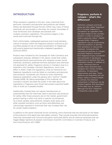# **INTRODUCTION**

When sprayed or applied on the skin, many chemicals from perfumes, cosmetics and personal care products are inhaled. Others are absorbed through the skin. Either way, many of these chemicals can accumulate in the body. As a result, the bodies of most Americans and Canadians are polluted with multiple cosmetics ingredients. This pollution begins in the womb and continues through life.

Most unfortunately, widespread exposure and a long-standing culture of secrecy within the fragrance industry continue to put countless people at risk of contact sensitization to fragrances with poorly-tested and intentionally unlabeled ingredients (Schnuch 2007).

Product tests initiated by the Campaign for Safe Cosmetics and subsequent analyses, detailed in this report, reveal that widely recognized brand-name perfumes and colognes contain secret chemicals, sensitizers, potential hormone disruptors and chemicals not assessed for safety. Fragrance secrecy in Canada is due to a loophole in the Canadian *Cosmetic Regulations,* which took effect in 2004. Under the regulations, while all intentional nonfragrance ingredients must be listed on cosmetics and personal care products, companies can choose to lump intentional fragrance ingredients under the generic term "parfum" (Health Canada 2008). By taking advantage of this loophole, the cosmetics industry has kept the public in the dark about the ingredients in fragrance, even those that present potential health risks or build up in people's bodies.

Additionally, Canada does not require manufacturers to systematically test the chemicals used in personal care products for safety. After these products are on the market, government product testing is often only done in special circumstances. As a result, people using perfume, cologne, body spray and other scented cosmetics, such as lotion and aftershave, are unknowingly exposed to chemicals that may increase their risk for certain health problems.

# **Fragrance, perfume & cologne – what's the difference?**

Perfumes, colognes and body sprays are often called "fragrances." But in Canada, fragrance is considered "an ingredient that has been added to the cosmetic product in order to produce or mask a particular odour" (Health Canada 2008). Fragrance ingredients may be produced by chemical synthesis or derived from petroleum or natural raw materials. Companies that manufacture perfume or cologne purchase fragrance mixtures from fragrance houses (companies that specialize in developing fragrances) to develop their own proprietary blends. In addition to "scent" chemicals that we actually smell, perfumes and colognes also contain solvents, stabilizers, UV-absorbers, preservatives and dyes. These additives are frequently, but not always, listed on product labels. In contrast, the chemical components in fragrance can be lumped together and described on the label only as "parfum" although the term "fragrance" is frequently used as well.

In addition to the secret chemicals found via testing, some chemicals that are disclosed on the labels of the products in this report also raise safety concerns. They include sunscreen and ultraviolet-protector chemicals associated with hormone disruption (Schlumpf 2004) and 24 chemical sensitizers that can trigger allergic reactions (European Commission Scientific Committee on Cosmetic Products and Non-Food Products (EC) 1999).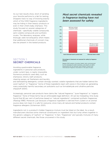As our test results show, short of sending your favorite perfume to a lab for testing, shoppers have no way of knowing exactly which of the 3,100 fragrance ingredients may be hiding in their beauty products or even in their child's baby shampoo. This study focused on several categories of chemicals – specifically volatile compounds, semi-volatile compounds and synthetic musks. The laboratory analyses, while thorough, were not exhaustive, which means that additional chemicals of concern may also be present in the tested products.

# *Most secret chemicals revealed in fragrance testing have not been assessed for safety*



# SECTION 1: **SECRET CHEMICALS**

Avoiding questionable fragrance ingredients in personal care products, under current laws, is nearly impossible. Numerous products used daily, such as shampoos, lotions, bath products, cleaning sprays, air fresheners and laundry

#### *Percentage of chemicals not assessed for safety by fragrance industry.*

**Source:** EWG analysis of product labels, tests commissioned by the Campaign for Safe Cosmetics, and reports of safety assessments by the Personal Care Products Council and International Fragrance Association in the past 25 years.

and dishwashing detergents, contain strongly scented, volatile ingredients that are hidden behind the word "parfum" or "fragrance." Some of these ingredients react with ozone in the indoor air, generating many potentially harmful secondary air pollutants such as formaldehyde and ultrafine particles (Nazaroff 2004).

Increasingly, personal care products have claims like "natural fragrance," "pure fragrance" or "organic fragrance." None of these terms has an enforceable legal definition. All can be misleading. One study found that 82 per cent of perfumes based on "natural ingredients" contained synthetic fragrances (Rastogi 1996). Moreover, just because a fragrance ingredient is derived from a plant or an animal source does not mean it is safe for everyone, since many all-natural and herbal products contain fragrance allergens (Scheinman 2001).

Ingredients not in a product's hidden fragrance mixture must be listed on the label. As a result, manufacturers disclose some chemical constituents on ingredient lists but lump others together in the generic category of "parfum" or "fragrance." In fact, "fragrances" are typically mixtures of many different secret chemicals, like those uncovered in this study.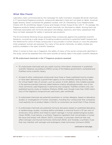#### **What Was Found**

Laboratory tests commissioned by the Campaign for Safe Cosmetics revealed 38 secret chemicals in 17 name-brand fragrance products, compounds detected in tests but not listed on labels. American Eagle Seventy Seven contained the greatest number, with 24, followed by Coco Mademoiselle Chanel with 18, and Britney Spears Curious and Giorgio Armani Acqua Di Gio with 17. On average, the fragrance products tested contained 14 secret chemicals not disclosed on labels. Among them are chemicals associated with hormone disruption and allergic reactions, and many substances that have not been assessed for safety in personal care products.

The Environmental Working Group assessed these compounds against the published scientific literature, uncovering a wide range of troubling evidence pointing to potential health hazards and the likelihood for some of these compounds to accumulate in human tissues or cross the placenta when pregnant women are exposed. For many of the secret chemicals, no safety studies are publicly available in the open scientific literature.

When it comes to their use in fragrance, the safety of many of the secret compounds identified in this study cannot be assessed from the scant records of toxicity data in the public scientific literature.

#### Of 38 undisclosed chemicals in the 17 fragrance products assessed:

- **•** 10 undisclosed chemicals lack any public toxicity information whatsoever in published scientific literature, according to EWG's survey of the federal government's comprehensive PubMed online scientific library.
- **•** At least 6 other undisclosed compounds have three or fewer published toxicity studies, or have been deemed by a government agency to be completely lacking toxicity data for critical health risks of concern, such as cancer or birth defects. One notable example is the jasmine-scented chemical called hedione (methyl dihydrojasmonate), one of the most commonly used fragrances in perfumes and colognes. PubMed contains only one published toxicity study on hedione (Politano 2008), even though more than 1,000 metric tons of the fragrance compound are used every year worldwide.
- **•** 9 undisclosed chemicals are potential sensitizers or contact allergens, based on laboratory studies or investigations of human volunteers, including four compounds that companies must explicitly list on product labels in the EU so consumers can avoid them if they choose.
- **•** 6 undisclosed chemicals are potential hormone disruptors based on published laboratory or epidemiology studies, including diethyl phthalate, a chemical found in 97 per cent of Americans (Silva 2004) and linked to sperm damage in human epidemiological studies (Swan 2008); musk ketone, a synthetic fragrance ingredient that concentrates in human fat tissue and breast milk (Reiner 2007); octinoxate, a sunscreen chemical that may affect estrogen and thyroid hormones (Schlumpf 2004); and Tonalide, a synthetic musk that may interfere with estrogen and androgens (male hormones) (Schreurs 2005).

*continued on next page…*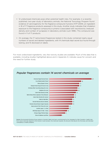- **•** 12 undisclosed chemicals pose other potential health risks. For example, in a recently published, two-year study of laboratory animals, the National Toxicology Program found evidence of carcinogenicity for the fragrance compound myrcene (NTP 2009), an ingredient in 16 of 17 fragrance products assessed in this study. Another study indicates that inhalation exposure to the fragrance compound p-cymene is associated with neurotoxicity (reduced density and number of synapses) in laboratory animals (Lam 1996). This compound was found in 11 of 17 products.
- **•** On average, the 17 name-brand fragrances tested in this study contained nearly equal numbers of secret and labeled ingredients, with 14 chemicals kept secret but found through testing, and 15 disclosed on labels.

For most undisclosed ingredients, very few toxicity studies are available. Much of the data that is available, including studies highlighted above and in Appendix D, indicate cause for concern and the need for further study.





**Source:** Environmental Working Group analysis of product labels and tests commissioned by the Campaign for Safe Cosmetics. Health risks from secret chemicals depend on the mixture in each product, the chemicals hazards, the amounts that absorb into the body, and individual vulnerability to health problems.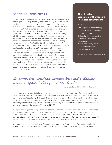# SECTION 2: **SENSITIZERS**

During the last 20 years, fragrance contact allergy has become a major global health problem (Scheinman 2002). Many scientists attribute this phenomenon to a steady increase in the use of fragrance in cosmetics and household products (Johansen 2000; Karlberg 2008). Fragrance is now considered among the top five allergens in North America and European countries (de Groot 1997; Jansson 2001) and is associated with a wide range of skin, eye and respiratory reactions. Repeated, cumulative exposure to chemical sensitizers like allergenic fragrance ingredients increases the chance that a person will develop allergic symptoms later in life (Buckley 2003). A clinical review of fragrance ingredients found that at least 100 are known to cause contact allergy (Johansen 2003), a potentially debilitating condition that can result in itchy, scaly, painful skin. Fragranceinduced dermatitis (eczema) can develop anywhere on the body, but the hands, face and axillae (underarm, from use of deodorants) are most often affected. Hand eczema impairs quality of life and is also of economic consequence for society, due to allergy sufferers' missed workdays and need for medical treatment. Unfortunately, many consumers do not know which specific chemical ingredient may trigger their fragrance sensitivity and contact allergy.

# **Allergic effects associated with exposure to fragranced products**

#### Headaches

Chest tightness and wheezing Infant diarrhea and vomiting Mucosal irritation Reduced pulmonary function Asthma and asthmatic exacerbation Rhinitis and airway irritation Sense organ irritation Contact dermatitis

Table adapted from Caress and Steinemann 2009.

# In 2007, the American Contact Dermatitis Society named fragrance" Allergen of the Year."20

#### — **American Contact Dermatitis Society 2010**

Also unfortunately, scientists have not determined precisely how inhaling perfume chemicals can cause respiratory distress (Eberling 2004; Schnuch 2010) or how exposures to traces of a fragrance can trigger contact allergy (EC 1999). They are trying to establish whether reactions are triggered by scent chemicals themselves (Lastbom 2003), their oxidation products (Christensson 2009) or other ingredients such as phthalates, which are strongly associated with asthma and other reactive airway symptoms (Bornehag 2010; Mendel 2007).

Companies using these compounds can choose to comply with concentration limits recommended by the International Fragrance Association to help prevent users from developing allergies or contact dermatitis. But these limits are based on the assumption that people are exposed to just one sensitizer at a time. The prevalence of fragrance allergies suggests that the fragrance industry's self-imposed concentration limits are either not followed or not sufficiently protective.

Compared to companies selling in Canada, those marketing fragrances in Europe are required to fully disclose common allergens. In 1999, the European Commission's Scientific Committee on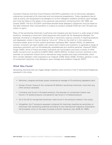Cosmetic Products and Non-Food Products (SCCNFP) published a list of well-known allergenic substances comprised of 24 chemicals and two botanical preparations. These ingredients are all used as scents, are recognized to be allergens or to form allergenic oxidation products upon storage, and must be listed on the labels of any personal care product containing them (EC 1999; van Oosten 2009). The EU's SCCNFP committee decided these allergenic substances must be listed on the label whenever their concentration in a leave-on product exceeds 0.001 per cent (10 parts per million or ppm).

Many of the sensitizing chemicals in perfumes and colognes are also found in a wide range of other products, increasing a consumer's total exposures and overall risk for developing allergies. For example, limonene is a fragrance chemical that is commonly used as a solvent in cleaning products and degreasers where it may be listed as "citrus oil." While on the shelf or in the warehouse, limonene breaks down to form potent sensitizers (Karlberg 1997; Topham 2003). Of additional concern, limonene can react readily with ozone, both indoors and outdoors, to generate a range of hazardous pollutants such as formaldehyde, acetaldehyde and ultrafine particles. (Nazaroff 2004; Singer 2006). Some of these secondary pollutants are carcinogens and pose a variety of other health concerns such as asthma (USEPA 2005; USEPA 2007a). Another common sensitizer is the lavender oil component linalool and its derivatives linalyl acetate and linalyl anthranilate, which form contact allergens when exposed to air (Hagvall, 2008; Skold, 2008). Similarly, geraniol, a rose oil component, becomes more allergenic upon storage and oxidation (Hagvall, 2007).

# **What Was Found**

Sensitizing chemicals that can trigger allergic reactions were common in the 17 name-brand fragrances assessed in this study:

- **•** Perfumes, colognes and body sprays contained an average of 10 sensitizing ingredients each.
- **•** Giorgio Armani Acqua Di Gio contained 19 different sensitizing chemicals, more than any other product assessed.
- **•** Limonene was found in 16 tested products, the lavender oil component linalool was found in 14 tested products, and geraniol was found in 12 tested products
- **•** 22 of the 26 EU-recognized sensitizers were found in the products tested in this study.
- **•** Altogether, the 17 products assessed contained 24 chemicals classified as sensitizers or chemicals with sensitizing potential according to the International Fragrance Association, the European Union or the peer-reviewed scientific literature (Api 2008; EC 1999).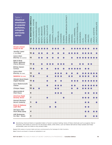| Table 1:<br><b>Chemical</b><br>sensitizers<br>in popular<br>perfumes,<br>colognes<br>and body<br>sprays                                                                                                                                                                                                                                                                                                                         | CHEMICALS<br><b>SENSITIZING</b><br><b>TOTAL</b> | <b>IONONE</b><br>ALPHA-ISOMETHYL | AMYLCINNAMALDEHYDE | ALCOHOL<br>ENZYL<br>$\omega$ | <b>BENZOATE</b><br>ENZYL<br>$\omega$ | ENZYL CINNAMATE<br>$\Omega$ | <b>SALICYLATE</b><br><b>BENZYL</b> | CINNAMAL | CINNAMYL ALCOHOL | CITRAL | CITRONELLOL | COUMARIN | EUGENOL | EVERNIA FURFURACEA EXTRACT | FARNESOL | GERANIOL | <b>HEXYL CINNAMAL</b> | HYDROXYCITRONELLAL | SOEUGENOL | LILIAL | <b>IMONENE</b> | <b>LINALOOL</b> | <b>YRAL</b> | LINALYL ACETATE | INALYL ANTRANILATE |
|---------------------------------------------------------------------------------------------------------------------------------------------------------------------------------------------------------------------------------------------------------------------------------------------------------------------------------------------------------------------------------------------------------------------------------|-------------------------------------------------|----------------------------------|--------------------|------------------------------|--------------------------------------|-----------------------------|------------------------------------|----------|------------------|--------|-------------|----------|---------|----------------------------|----------|----------|-----------------------|--------------------|-----------|--------|----------------|-----------------|-------------|-----------------|--------------------|
| <b>Giorgio Armani</b><br><b>Acqua Di Gio</b>                                                                                                                                                                                                                                                                                                                                                                                    | 19                                              |                                  |                    |                              |                                      |                             |                                    |          |                  |        |             |          |         |                            |          |          |                       |                    |           |        |                |                 |             |                 |                    |
| Jennifer Lopez<br>J. Lo Glow                                                                                                                                                                                                                                                                                                                                                                                                    | 16                                              |                                  |                    |                              |                                      |                             |                                    |          |                  |        |             |          |         |                            |          |          |                       |                    |           |        |                |                 |             |                 |                    |
| Calvin Klein<br>Eternity (for women)                                                                                                                                                                                                                                                                                                                                                                                            | 15                                              |                                  |                    |                              |                                      |                             |                                    |          |                  |        |             |          |         |                            |          |          |                       |                    |           |        |                |                 |             |                 |                    |
| <b>Bath &amp; Body</b><br><b>Works Japanese</b><br><b>Cherry Blossom</b>                                                                                                                                                                                                                                                                                                                                                        | 13                                              |                                  |                    |                              |                                      |                             |                                    |          |                  |        |             |          |         |                            |          |          |                       |                    |           |        |                |                 |             |                 |                    |
| Britney Spears<br>Curious                                                                                                                                                                                                                                                                                                                                                                                                       | 13                                              |                                  |                    |                              |                                      |                             |                                    |          |                  |        |             |          |         |                            |          |          |                       |                    |           |        |                |                 |             |                 |                    |
| Calvin Klein<br>Eternity (for men)                                                                                                                                                                                                                                                                                                                                                                                              | 13                                              |                                  |                    |                              |                                      |                             |                                    |          |                  |        |             |          |         |                            |          |          |                       |                    |           |        |                |                 |             |                 |                    |
| <b>Quiksilver</b> (for men)                                                                                                                                                                                                                                                                                                                                                                                                     | 13                                              | $\bullet$                        |                    |                              |                                      |                             |                                    |          |                  |        |             |          |         |                            |          |          |                       |                    |           |        |                |                 |             |                 |                    |
| <b>Victoria's Secret Dream</b><br><b>Angels Heavenly</b>                                                                                                                                                                                                                                                                                                                                                                        | 13                                              |                                  |                    |                              |                                      |                             |                                    |          |                  |        |             |          |         |                            |          |          |                       |                    |           |        |                |                 |             |                 |                    |
| Coco Mademoiselle<br><b>Chanel</b>                                                                                                                                                                                                                                                                                                                                                                                              | 12                                              |                                  |                    |                              |                                      |                             |                                    |          |                  |        |             |          |         |                            |          |          |                       |                    |           |        |                |                 |             |                 |                    |
| <b>Clinique Happy</b>                                                                                                                                                                                                                                                                                                                                                                                                           | 10                                              |                                  |                    |                              |                                      |                             |                                    |          |                  |        |             |          |         |                            |          |          |                       |                    |           |        |                |                 |             |                 |                    |
| Abercrombie &<br><b>Fitch Fierce</b>                                                                                                                                                                                                                                                                                                                                                                                            | 8                                               |                                  |                    |                              |                                      |                             |                                    |          |                  |        |             |          |         |                            |          |          |                       |                    |           |        |                |                 |             |                 |                    |
| <b>American Eagle</b><br><b>Seventy Seven</b>                                                                                                                                                                                                                                                                                                                                                                                   | 7                                               |                                  |                    |                              |                                      |                             |                                    |          |                  |        |             |          |         |                            |          |          |                       |                    |           |        |                |                 |             |                 |                    |
| Hannah Montana<br><b>Secret Celebrity</b>                                                                                                                                                                                                                                                                                                                                                                                       | 5                                               |                                  |                    |                              |                                      |                             |                                    |          |                  |        |             |          |         |                            |          |          |                       |                    |           |        |                |                 |             |                 |                    |
| Dolce & Gabbana<br><b>Light Blue</b>                                                                                                                                                                                                                                                                                                                                                                                            | 4                                               |                                  |                    |                              |                                      |                             |                                    |          |                  |        |             |          |         |                            |          |          |                       |                    |           |        |                |                 |             |                 |                    |
| <b>Old Spice After</b><br><b>Hours Body Spray</b>                                                                                                                                                                                                                                                                                                                                                                               | 4                                               |                                  |                    |                              |                                      |                             |                                    |          |                  |        |             |          |         |                            |          |          |                       |                    |           |        |                |                 |             |                 |                    |
| <b>AXE Bodyspray</b><br>For Men - Shock                                                                                                                                                                                                                                                                                                                                                                                         | 3                                               |                                  |                    |                              |                                      |                             |                                    |          |                  |        |             |          |         |                            |          |          |                       |                    |           |        |                |                 |             |                 |                    |
| Sensitizing chemical listed on ingredient label or found in product testing. Some of these chemicals such as eugenol, lilial or<br>limonene, were listed on some but not all product labels, while others, such as linalool derivatives linalyl acetate and linalyl<br>anthranilate, were not listed on any product label.<br>Source: EWG analysis of product labels and tests commissioned by the Campaign for Safe Cosmetics. |                                                 |                                  |                    |                              |                                      |                             |                                    |          |                  |        |             |          |         |                            |          |          |                       |                    |           |        |                |                 |             |                 |                    |

**Source:** EWG analysis of product labels and tests commissioned by the Campaign for Safe Cosmetics.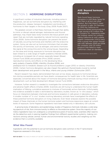# SECTION 3: **HORMONE DISRUPTORS**

A significant number of industrial chemicals, including some in fragrances, can act as hormone disruptors by interfering with the production, release, transport, metabolism and binding of hormones to their targets in the body (Gray 2009; Rudel 2007).

The greatest concern is that these chemicals, through their ability to mimic or disrupt natural estrogen, testosterone and thyroid pathways, may impair basic body functions like tissue growth and repair that are normally regulated by natural hormone signaling (Soto 2009). Some hormone disruptors can prevent the action of naturally occurring hormones and interfere with the endocrine system. Some can also act as hormone mimickers that simulate the activity of hormones, such as estrogen, and send a hormonelike signal at the wrong time and to the wrong tissues. Depending on the dose and timing, exposure to hormone disruptors has been linked to a wide range of health problems (Heindel 2009), including an increased risk of cancer, especially breast (Breast Cancer Fund 2008) and prostate (Prins 2008) cancers; reproductive toxicity and effects on the developing fetus; early puberty (Caserta 2008); infertility (Guidice 2006); and

## **AXE: Beyond hormone disruptors**

Tests found fewer hormone disruptors in AXE Body Spray for Men than in all but one other product. But that doesn't mean the product is safe. On February 10, 2010 the California Air Resources Board announced that it was issuing a \$1.3 million fine to Conopco Inc. (operating under the Unilever name) for contaminating California air with volatile organic compounds (VOCs) each time a young man sprays himself with AXE. Between 2006 and 2008 the company sold 2.8 million products that failed to meet California's clean air standards

(Environmental News Service 2010).

predisposi-tion to metabolic disease such as thyroid problems (Jugan 2010) or obesity (Hotchkiss 2008). Certain hormone disruptors can also impact the optimum thyroid levels crucial to normal brain development and growth in the fetus, infants and young children (Schmutzler 2007).

Recent research has clearly demonstrated that even at low doses, exposure to hormonal disruptors during susceptible periods can have drastic consequences for health later in life. Scientists are especially concerned about the impact of hormone-disrupting chemicals during critical windows of development, such as fetal development (Breast Cancer Fund 2008).

However, further research is needed to investigate the connections between endocrine disruptors and adverse health effects (Charles 2009). Scientists are still trying to understand the human health implication of lifelong, cumulative exposure to mixtures of hormonally active chemicals. Unfortunately, the evidence available to-date is dominated by laboratory studies, known as "in vitro assays," which focus on interactions between chemicals and hormone receptors in cells grown in laboratory cultures. A smaller number of "in vivo" studies involving laboratory animals have investigated the effects of these potential hormone disruptors on living creatures. Even fewer analyses explore the possible impact of these chemicals on the human hormone system and hormone-responsive organs at current levels of exposure. Some fragrance ingredients have been tested only in laboratory cell cultures.

A growing body of laboratory and epidemiology studies of fragrance chemicals indicates a wide-ranging spectrum of risk, from immune toxicity to effects on the endocrine system. Since the majority of cosmetics ingredients have not undergone a comprehensive panel of toxicity tests, scientists often need to do the detective work in piecing together findings from different experimental systems, making connections among cellular, animal, human and environmental toxicity studies and weighing out the evidence that is currently available.

#### **What Was Found**

Ingredients with the potential to act as hormone disruptors were common in the 17 name-brand fragrances assessed in this study: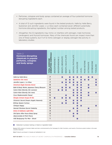- **•** Perfumes, colognes and body sprays contained an average of four potential hormonedisrupting ingredients each.
- **•** A total of 12 such ingredients were found in the tested products. Halle by Halle Berry, Quiksilver and Jennifer Lopez J. Lo Glow each contained seven different potentially hormone-disrupting ingredients, the highest number among tested products.
- **•** Altogether, the 12 ingredients may mimic or interfere with estrogen, male hormones (androgens) and thyroid hormones. Many of the chemicals found can impact more than one of these systems, but 11 of 12 mimic estrogen or display estrogen-like activity in laboratory studies.

| Table 2:<br><b>Hormone-disrupting</b><br>chemicals in popular<br>perfumes, colognes<br>and body sprays | TOTAL HORMONE<br>DISRUPTING CHEMICALS | BENZOPHENONE-T | 3ENZOPHENONE-2 | BENZOATE<br><b>JAZNZZ</b> | <b>BENZYL SALICYLATE</b> | <b>THE</b> | DIETHYL PHTHALATE | <b>GALAXOLIDE</b> | LILIAL | <b>MUSK KETONE</b> | <b>OCTINOXATE</b> | <b>OXYBENZONE</b> | <b>TONALIDE</b> |
|--------------------------------------------------------------------------------------------------------|---------------------------------------|----------------|----------------|---------------------------|--------------------------|------------|-------------------|-------------------|--------|--------------------|-------------------|-------------------|-----------------|
| <b>Halle by Halle Berry</b>                                                                            | 7                                     |                |                |                           |                          |            |                   |                   |        |                    |                   |                   |                 |
| <b>Quiksilver (for men)</b>                                                                            | 7                                     |                |                |                           |                          |            |                   |                   |        |                    |                   |                   |                 |
| Jennifer Lopez J. Lo Glow                                                                              | $\overline{z}$                        |                |                |                           |                          |            |                   |                   |        |                    |                   |                   |                 |
| <b>American Eagle Seventy Seven</b>                                                                    | 6                                     |                |                |                           |                          |            |                   |                   |        |                    |                   |                   |                 |
| Bath & Body Works Japanese Cherry Blossom                                                              | 6                                     |                |                |                           |                          |            |                   |                   |        |                    |                   |                   |                 |
| Calvin Klein Eternity (for women)                                                                      | 6                                     |                |                |                           |                          |            |                   |                   |        |                    |                   |                   |                 |
| Calvin Klein Eternity (for men)                                                                        | 5                                     |                |                |                           |                          |            |                   |                   |        |                    |                   |                   |                 |
| Coco Mademoiselle Chanel                                                                               | 5                                     |                |                |                           |                          |            |                   |                   |        |                    |                   |                   |                 |
| Giorgio Armani Acqua Di Gio                                                                            | 5                                     |                |                |                           |                          |            |                   |                   |        |                    |                   |                   |                 |
| Victoria's Secret Dream Angels Heavenly                                                                | 4                                     |                |                |                           |                          |            |                   |                   |        |                    |                   |                   |                 |
| <b>Britney Spears Curious</b>                                                                          | 4                                     |                |                |                           |                          |            |                   |                   |        |                    |                   |                   |                 |
| <b>Clinique Happy</b>                                                                                  | 3                                     |                |                |                           |                          |            |                   |                   |        |                    |                   |                   |                 |
| Hannah Montana Secret Celebrity                                                                        | $\overline{\mathbf{3}}$               |                |                |                           |                          |            |                   |                   |        |                    |                   |                   |                 |
| <b>Dolce &amp; Gabbana Light Blue</b>                                                                  | $\overline{\mathbf{3}}$               |                |                |                           |                          |            |                   |                   |        |                    |                   |                   |                 |
| Old Spice After Hours Body Spray                                                                       | $\overline{\mathbf{2}}$               |                |                |                           |                          |            |                   |                   |        |                    |                   |                   |                 |
| Abercrombie & Fitch Fierce                                                                             | 1                                     |                |                |                           |                          |            |                   |                   |        |                    |                   |                   |                 |
| <b>AXE Bodyspray For Men - Shock</b>                                                                   | 1                                     |                |                |                           |                          |            |                   |                   |        |                    |                   |                   |                 |

Detected in product testing or listed on ingredient label

**Source:** EWG analysis of product labels and tests commissioned by the Campaign for Safe Cosmetics, and results of hormone system studies in the open scientific literature

**Note:** Products purchased in Canada are highlighted in red.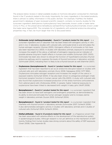The analysis below reviews in detail available studies on hormone disruption conducted for chemicals found in the 17 products tested in this study. Importantly, for many ingredients in the tested products, there is almost no safety information in the public domain. For example, PubMed, the federal government's database of peer-reviewed scientific research, contains no toxicity studies for the sunscreen ingredient diethylamino hydroxybenzoyl hexyl benzoate, known under a trade name Uvinul A Plus, or the preservative tetradibutyl pentaerithrityl hydroxyhydrocinnamate, known under the trade name Irganox1010. The complete list of ingredients with potential endocrine-disrupting properties may, in fact, be much larger than the 12 discussed below.

- **• Octinoxate (octyl methoxycinnamate)**  *found in 7 products tested for this report*  is a sunscreen ingredient and UV absorber that has been linked with estrogenic activity in vitro and in vivo. In laboratory studies with cultured cells, octinoxate binds to and stimulates the human estrogen receptor (Gomez 2005). Estrogenic effects of octinoxate on fish have also been reported (Inui 2003). In studies with laboratory animals, exposure to octinoxate increases the weight of the uterus, a hallmark of estrogenic response and an indicator of possible adverse long-term health effects in humans and wildlife (Schlumph 2001; 2003). Octinoxate has been also shown to disrupt the function of hypothalamo-pituitary-thyroid endocrine pathway and to suppress the levels of thyroid hormones in laboratory animals (Schmutzler 2004), indicating that it is likely to be a thyroid toxicant as well (Klammer 2007).
- **• Oxybenzone (benzophenone-3)**  *found in 1 product tested for this report*  is a sunscreen ingredient that has been reported to act as an endocrine disruptor based on studies with cultured cells and with laboratory animals (Kunz 2006; Nakagawa 2002; NTP 1992). Oxybenzone stimulates estrogen receptors and increases the weight of the uterus in exposed rodents (Schlumpf 2004). It has also been shown to antagonize androgen (male hormone) receptor function in human cancer cells (Ma 2003). A study with cultured cells also found that oxybenzone increased production of the stress hormone corticosterone from adrenal gland cells (Ziolkowska 2006). In people, higher maternal exposures to oxybenzone have been linked to decreased birth weight in baby girls (Wolff 2008).
- **• Benzophenone-1**  *found in 1 product tested for this report*  is a sunscreen ingredient that has been shown to have both estrogenic and androgenic properties, as demonstrated by its ability to bind and stimulate the human estrogen receptor and to increase uterine weight in laboratory animals (Suzuki 2005; Schlumpf 2004).
- **• Benzophenone-2**  *found in 1 product tested for this report*  is a sunscreen ingredient that interferes with thyroid function in laboratory animals (Schmutzler 2007; Schlecht 2006). It also demonstrates estrogenic activity in studies with laboratory animals and in studies of cultured cells (Schlumpf 2004; Schlecht 2004).
- **• Diethyl phthalate**  *found in 12 products tested for this report*  is a fragrance solvent that has been associated with adverse effects on the development of the reproductive system in epidemiological studies. Although research is not yet definitive on the mechanism of DEP toxicity, findings from human studies raise strong concerns about the safety of DEP exposures (Swan 2008). (See Appendix B)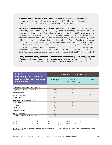- **• Butylated hydroxytoluene (BHT)**  *found in 6 products tested for this report* is a preservative and stabilizer. Two studies have linked BHT with adverse effects on the thyroid (Sondergaard 1982) and possible thyroid carcinogenesis (Ito 1985).
- **• Synthetic musks Galaxolide, Tonalide and musk ketone**  *found in 15, 5, and 1 product tested, respectively for this report* - have not yet been tested in long-term studies that could specifically address effects on the endocrine system (van der Berg 2008). Significant data gaps and lack of adequate animal or human studies makes definitive characterization of endocrine toxicity a challenge. However, a substantial body of data from laboratory studies with cell culture models indicates that these chemicals can affect the function of the human estrogen receptor as well as receptors for other hormones such as androgen and progesterone and stimulate the growth of hormone-sensitive cancer cells in vitro (Schreurs 2005). Both Galaxolide and Tonalide musks contaminate people and the environment worldwide, and have been associated with toxicity to the endocrine system (van der Burg 2008). A recent EWG study found both in the cord blood of newborn babies (EWG 2009). (See Appendix C)
- **• Benzyl salicylate, benzyl benzoate and scent chemical lilial (butylphenyl methylpropional) - found in 8, 6, and 5 products tested respectively for this report** - have demonstrated estrogenic activity in a recent study with human breast cancer cells (Charles 2009).

| Table 3:<br><b>Twelve fragrance chemicals</b>   | <b>HORMONE SYSTEM AFFECTED</b> |                              |                |  |  |  |  |  |
|-------------------------------------------------|--------------------------------|------------------------------|----------------|--|--|--|--|--|
| that may affect sex hormones<br>and the thyroid | Estrogen                       | Androgens<br>(male hormones) | <b>Thyroid</b> |  |  |  |  |  |
| Octinoxate (octyl methoxycinnamate)             | $\vee *$                       |                              | $\ast$         |  |  |  |  |  |
| Oxybenzone (benzophenone-3)                     | $\vee *$                       | $\mathbf{v}$                 |                |  |  |  |  |  |
| Benzophenone-1                                  | $\vee *$                       | $\checkmark$                 |                |  |  |  |  |  |
| Benzophenone-2                                  | $\vee *$                       |                              | $\vee$ *       |  |  |  |  |  |
| <b>Diethyl phthalate</b>                        | $\mathbf{v}$                   |                              |                |  |  |  |  |  |
| <b>Butylated hydroxytoluene (BHT)</b>           |                                |                              | $\ast$         |  |  |  |  |  |
| Galaxolide                                      | $\checkmark$                   | $\checkmark$                 |                |  |  |  |  |  |
| <b>Tonalide</b>                                 | $\mathbf{v}$                   | $\mathbf{v}$                 |                |  |  |  |  |  |
| <b>Musk ketone</b>                              | $\mathbf{v}$                   |                              |                |  |  |  |  |  |
| <b>Benzyl salicylate</b>                        | $\mathbf{v}$                   |                              |                |  |  |  |  |  |
| <b>Benzyl benzoate</b>                          | $\mathbf{v}$                   |                              |                |  |  |  |  |  |
| Lilial (butylphenyl methylpropional)            | $\checkmark$                   |                              |                |  |  |  |  |  |

**✔** Potential to disrupt the indicated hormone system based on findings from published cell culture studies

**✱** Potential to disrupt the indicated hormone system based on findings from published animal studies

**Source:** EWG analysis of product labels and tests commissioned by the Campaign for Safe Cosmetics, and results of hormone system studies in the open scientific literature.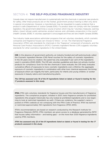# SECTION 4: **THE SELF-POLICING FRAGRANCE INDUSTRY**

Canada does not require manufacturers to systematically test the chemicals in personal care products for safety. After these products are on the market, government product testing is often only done in special circumstances. However, a manufacturer may be requested to supply evidence that a product is safe (Department of Justice Canada 2010). If a product does not comply with the Canadian legislation, the government determines a course of action which may be "voluntary measures, warning letters, import refusal, public advisories, product seizure, and, ultimately, prosecution in the courts" (Health Canada, 2008). A voluntary approach is encouraged and fines are rare (Health Canada 2009b).

Two industry trade associations administer programs that set voluntary standards, which cosmetic companies and fragrance houses can choose to follow – or not. The International Fragrance Association (IFRA) sets standards for chemicals in the "fragrance" component of products, and the Personal Care Product Association's (PCPC) Cosmetic Ingredient Review (CIR) suggests voluntary standards for other cosmetics ingredients in the United States.

**CIR:** In the absence of government authority, an industry-funded and self-policing body called the *Cosmetic Ingredient Review (CIR) Panel* vouches for the safety of cosmetic ingredients. In the 30 years since its creation, this panel has only evaluated 11 per cent of the ingredients used in cosmetics (EWG 2005). The CIR sets voluntary guidelines and does not actively monitor products for compliance. Even for the few chemicals it does evaluate, the CIR rarely evaluates cumulative effects of exposures to toxic cosmetic ingredients over a lifetime; the aggregate exposure of cosmetic ingredients in combination with other toxic chemical exposures; the timing of exposure which can magnify the harm, particularly for infants and young children; or worker exposures in beauty salons and manufacturing plants.

*The CIR has assessed only 19 of the 91 ingredients listed on labels or found in testing for the 17 products assessed in this study.* 

**IFRA:** IFRA sets voluntary standards for fragrance houses and the manufacturers of fragrance ingredients. The compliance program, initiated in 2007, tests fragrance samples for prohibited ingredients (the program historically has only looked at prohibited ingredients and is now beginning to look at restricted ingredients as well). If there are violations, the supplier's name is posted on IFRA's website as not complying with the IFRA Code of Practice. IFRA has banned or restricted approximately 150 ingredients from fragrance (IFRA 2010).

IFRA's recommendations are based on research conducted by the Research Institute for Fragrance Materials (RIFM). IFRA members are given access to a database generated by RIFM that houses safety information – and testing gaps – on the more than 3,100 fragrance ingredients used by IFRA members.

*IFRA has assessed only 22 of the 91 ingredients listed on labels or found in testing for the 17 products assessed in this study.*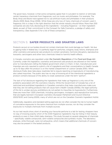The good news, however, is that some companies agree that it is prudent to restrict or eliminate certain hazardous chemicals from fragrances, such as musks and phthalates. For example, The Body Shop and Boots have agreed not to use artificial musks and phthalates in their products (Boots 2005; Body Shop 2008). While these are only two of many chemicals of concern used in fragrance, this is a step in the right direction that the whole industry should follow. More than 200 companies are also fully disclosing all the ingredients – including fragrance – on their ingredient labels, as part of their commitment to the Compact for Safe Cosmetics, a pledge of safety and transparency. (See Appendix E for a list of these companies.)

# SECTION 5: **SAFER PRODUCTS AND SMARTER LAWS**

Products we put on our bodies should not contain chemicals that could damage our health. Yet due to gaping holes in federal law, it is perfectly legal for perfumes, colognes, body lotions, shampoos and other cosmetics and personal care products to contain sensitizers, hormone disruptors, reproductive toxicants, carcinogens and other toxic chemicals linked to harmful health effects.

In Canada, cosmetics are regulated under *the Cosmetic Regulations* of the *Food and Drugs Act.* Currently, under this legislation, cosmetics and personal care products are allowed on the market prior to manufacturers telling the federal government what is in them. In fact, manufacturers and importers are only required to submit a list of ingredients and their concentrations to Health Canada up to 10 days after the product is on the market (Department of Justice Canada 2010). When disclosure finally does take place, loopholes fail to require reporting on byproducts of manufacturing, also called impurities. The public also has no way of knowing all of the intentional ingredients a product contains because of the ability to cloak substances under the term "parfum".

The lack of full disclosure regarding the ingredients that make up fragrance is only one of the problems associated with the cosmetics industry. While the Government of Canada has a list of restricted and prohibited ingredients in Canadian cosmetics that helps manufacturers make sure that they are not selling products that will cause harm (Health Canada 2009a), the legal authority of this list is unclear and any prohibitions do not pertain to impurities (or byproducts). Furthermore, there are more than 1,000 chemicals, including carcinogens, mutagens, and reproductive toxicants, that are legally banned in European cosmetics (European Parliament and Council Directive 2003/15/EC and Cosing 2009), many of which are not on the Canadian Cosmetic Ingredient Hotlist.

Additionally, regulatory and standard-setting agencies do not often consider the risk to human health of cumulative exposures to the same chemical from multiple sources, nor do they consider the exposures to multiple chemicals from multiple sources.

As our test results show, short of sending your favourite perfume to a lab for testing, shoppers have no way of knowing exactly which of the 3,100 fragrance ingredients may be hiding in their beauty products or even in their child's baby shampoo. This study focused on several categories of chemicals – specifically volatile compounds, semi-volatile compounds and synthetic musks. The laboratory analyses, while thorough, were not exhaustive, which means that additional chemicals of concern may also be present in the tested products.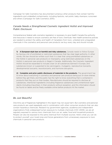Campaign for Safe Cosmetics has documented numerous other products that contain harmful ingredients and unlabelled contaminants, including lipsticks, nail polish, baby shampoo, sunscreen and others (Campaign for Safe Cosmetics 2010).

# *Canada Needs a Strengthened Cosmetic Ingredient Hotlist and Improved Public Disclosure*

Comprehensive federal safe cosmetics legislation is necessary to give Health Canada the authority and resources it needs to ensure cosmetics are free of toxic chemicals. New health-protective policies are needed to protect the safety and health of Canadians from toxic, untested and unregulated chemicals in the cosmetics and personal care products we buy every day and should include:

**1) A European-style ban on harmful and risky substances.** Canada needs to follow Europe by having a list of prohibited or restricted substances that has clear legal authority. In other words, the law should be written such that it is clear that using prohibited substances on the Hotlist in personal care products or improperly using restricted substances on the Hotlist in personal care products is illegal in Canada. Additionally, the Cosmetic Ingredient Hotlist should be expanded to include a ban on all substances banned in Europe, and substances known or suspected to be carcinogenic, mutagenic, reproductive toxicants, developmental toxicants, neurotoxicants, and hormone disruptors.

**2) Complete and prior public disclosure of materials in the products.** The government has to know about everything in cosmetics and personal care products being put on store shelves before they get there, and the public has the right to know everything that is contained in products that they put on their bodies. Manufacturers should be required to disclose all substances, intentional ingredients (including fragrance substances) and unintentional ingredients (including impurities), in their products without exception, and this information should be found on labels and be freely available online before products hit the market.

# *Be Just Beautiful*

One-time use of fragrances highlighted in this report may not cause harm. But cosmetics and personal care products are used repeatedly and in combination with other consumer products that can also contain hazardous chemicals. Research by government agencies, academia and independent organizations finds widespread human exposure to multiple chemicals (CDC 2009); we are all regularly exposed to various toxic chemicals from our air, water, food and household products. People can also be exposed to the same chemical from multiple sources. Here's what you can do to protect yourself, your loved ones and future generations from unnecessary exposure to toxic chemicals in personal care products.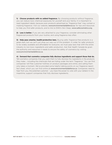**1) Choose products with no added fragrance.** By choosing products without fragrance, you can reduce toxic chemical exposures for yourself and your family. It is important to read ingredient labels, because even products advertised as "fragrance free" may contain a masking fragrance. Visit our website, www.environmentaldefence.ca, for tips and resources to help you find safer products, and to link to EWG's Skin Deep: www.safecosmetics.org.

**2) Less is better.** If you are very attached to your fragrance, consider eliminating other fragranced products from your routine, and using fragrance less often.

**3) Help pass smarter, health-protective laws.** Buying safer, fragrance-free products is a great start, but we can't just shop our way out of this problem. In order for safer products to be widely available and affordable for everyone, we must pass laws that shift the entire industry to non-toxic ingredients and safer production. Ask that Health Canada be given the authority and resources it needs to ensure the safety of cosmetics by visiting www.environmentaldefence.ca.

**4) Demand that cosmetics companies fully disclose ingredients and support those that do.** Tell cosmetics companies that you want them to fully disclose the ingredients in the products they make – including the chemicals that are hiding under the term "fragrance." You can find companies' toll-free customer hotlines on product packages and online, and calling them only takes a moment. We've provided some helpful talking points on our fragrance report fact sheet, which you can find online at www.environmentaldefence.ca. Companies need to hear from you, the potential customer – you have the power to vote with your dollars! In the meantime, support companies that fully disclose ingredients.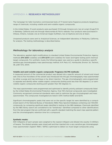#### APPENDIX A: **RESEARCH METHODOLOGY**

The Campaign for Safe Cosmetics commissioned tests of 17 brand-name fragrance products targeting a range of chemicals, including volatile and semi-volatile organic compounds.

In the United States, 13 scent products were purchased: 10 through Amazon.com, two at Long's Drugs/CVS in Berkeley, California and one through Abercrombie & Fitch's website. Four products were purchased in Ottawa, Ontario, Canada: one at American Eagle Outfitters, two at Sephora and one at Sears.

Unopened products were sent to Analytical Sciences, an independent laboratory in Petaluma, California, for analysis. The testing methodology is described below.

#### *Methodology for laboratory analysis*

The laboratory applied slight modifications to standard United States Environmental Protection Agency methods *EPA 8260* (volatiles) and *EPA 8270* (semi-volatiles) for lower and higher boiling point chemical target compounds. For synthetic musks the following paper was used as a guide to develop a specific sensitive gas chromatography mass spectroscopy method: A.M. Peck, K.C. Hornbuckle, Environ. Sci. Technol., 38, p367-372, 2004.

#### **Volatile and semi-volatile organic compounds: Fragrance GC/MS methods:**

A measured amount of the commercial product was diluted into a specific amount of solvent and mixed well. One to five microliters of the solvent was introduced into the gas chromatography mass spectrometer by either a purge and trap technique or by direct injection. The gas chromatographs were programmed to separate and identify either volatile organic compounds (boiling point less than 150 degrees C) or semivolatile organic compounds (boiling point greater than 150 degrees C).

The mass spectrometers were programmed and optimized to identify priority pollutant compounds listed by the United States Environmental Protection Agency. Over 150 chemical compounds were investigated. Commonly recognized commercial standards were used to optimize the gas chromatograph and mass spectrometer. The compounds investigated are listed in EPA method 8260 and 8270.

Significant chromatographic peaks that were not on the specific target list were identified by a computerized search of the National Bureau of Standards (NBS) Mass Spectral Database containing over 100,000 compounds, by comparing significant peaks identified in testing to the NBS database. Chemicals identified by the NBS library search are considered to be "tentatively" identified compared to other identifications from this test program that are confirmed with a specific standard matching the exact mass spectral pattern and the chromatographic retention time for a compound.

#### **Synthetic musks:**

500 milligrams of each sample were weighed to the nearest milligram and diluted into exactly 5 milliliters of hexane. The diluted samples were mixed well and then injected into a very sensitive gas chromatograph mass spectrometer (Agilent 7890 / 5975C) optimized to detect six musk target compounds using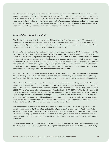selective ion monitoring to achieve the lowest detection limits possible. Standards for the following six target musks were utilized to optimize and calibrate the GC/MS instrument: Cashmeran (DPMI), Traseolide (ATII), Galaxolide (HHCB), Tonalide (AHTN), Musk Xylene, Musk Ketone. Results for detected musks were reported in units of parts per million (ug/gm or ppm). When necessary, dilutions and reruns were made to move detected compounds into the linear calibration range of the instrument. When dilutions were used for quantitation, detection limits were increased by the dilution factor.

#### *Methodology for data analysis*

The Environmental Working Group analyzed 91 ingredients in 17 tested products by (1) assessing the ingredients against definitive government, academic and industry datasets on chemical toxicity and regulation; and (2) reviewing public scientific literature available from the fragrance and cosmetic industry or contained in the federal government's PubMed scientific library.

Definitive toxicity and regulatory databases had been previously compiled by EWG researchers in EWG's Skin Deep cosmetic safety database (**www.cosmeticdatabase.com**). These databases summarize scientific information on known and probable carcinogens; reproductive and developmental toxicants; substances harmful to the nervous, immune and endocrine systems; bioaccumulative chemicals that persist in the human body; substances toxic to the environment; chemicals restricted for use in cosmetics and personal care products; and chemicals regulated by various government agencies. Chemical hazard information compiled from these databases serves as the basis for product and ingredient scoring as described on the Skin Deep About page (**www.cosmeticsdatabase.com/about.php**).

EWG imported data on all ingredients in the tested fragrance products (listed on the label and identified through testing) into EWG's Skin Deep database, and then individually reviewed the resulting toxicity profiles produced by linking Skin Deep's toxicity and regulatory databases to the product ingredients.

EWG relied on three primary sources to identify the range of sensitizers in tested products: (1) information published on the website of the International Fragrance Association, (2) peer-reviewed scientific literature and (3) the European Commission's Scientific Committee on Cosmetic Products and Non-Food Products (SCCNFP) list of common allergenic substances (publication SCCNFP/0017/98). The EU list includes 24 chemicals and two botanical preparations that are allergens or that form allergenic oxidation products upon storage. Twenty-two of these EU-recognized 26 sensitizers were found in the products tested in this study. EWG identified two additional ingredients as potential sensitizers, linalyl acetate and linalyl anthranilate, which are derivatives of the known sensitizer linalool (also found in the products tested). In total, EWG identified 24 different sensitizers in the tested products.

For identification of potential hormonal disruptors in tested products, EWG relied on peer-reviewed scientific publications. EWG identified an initial list of relevant references from the Registry of Toxic Effects of Chemical Substances (RTECS) databases and from PubMed searches. For the 12 ingredients identified as having a potential to act as hormonal disruptors, EWG selected 20 publications from the open scientific literature as offering the best evidence currently available on endocrine toxicity for fragrance ingredients.

To determine the number of ingredients in the tested products that are associated with voluntary industry standards in the U.S., EWG analyzed the list of ingredients in fragrance products included in this study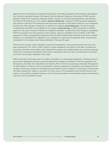against the list of cosmetics and personal care product chemicals assessed by three industry organizations: the Cosmetic Ingredient Review (CIR) panel; the International Fragrance Association (IFRA) and the Research Institute for Fragrance Materials (RIFM). Analysis of CIR-reviewed ingredients was based on the official CIR publication on its website (**www.cir-safety.org**). Analysis of IFRA-reviewed ingredients was based on the list of 174 substances that have been banned or restricted by IFRA for use in fragrance products by IFRA-member companies, as listed on its website (**www.ifraorg.org**). The list of studies conducted by the RIFM is not available on its website (**www.rifm.org**) so EWG conducted a PubMed search for the query "Research Institute for Fragrance Materials" to determine which fragrance ingredients RIFM has assessed. For the purposes of this analysis, when an ingredient was not listed on the IFRA website, but had a corresponding assessment from the RIFM Expert Panel published in the open scientific literature, we considered this ingredient in our database to have been assessed by IFRA. Assessments considered in this analysis were those published in the past 25 years.

Following this analysis, EWG identified a total of 35 ingredients in the tested products that have not been assessed by CIR, IFRA or RIFM. Eleven of these ingredients are listed on the label, including five sunscreen chemicals whose safety when inhaled from perfume and cologne sprays has not been assessed. Twenty-five unassessed ingredients were found in laboratory tests but were not disclosed on the label of at least one product assessed in this study.

EWG conducted a thorough search for safety information on unassessed ingredients, including review of government databases and peer-reviewed publications indexed in PubMed. Of the 25 ingredients not disclosed on the label, two ingredients are listed by FDA in the list of substances Generally Recognized As Safe (GRAS) in food for human consumption, while an additional 13 ingredients are listed by FDA as synthetic flavouring substances and adjuvants permitted for direct addition to food. Many of these have not been assessed for safety in cosmetics. Of note, many of the ingredients had minimal toxicity information in the publicly available literature, even for bioaccumulative and potentially endocrine-disrupting chemicals such as synthetic musks.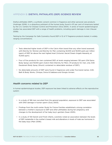#### APPENDIX B: **DIETHYL PHTHALATE (DEP) SCIENCE REVIEW**

Diethyl phthalate (DEP), a synthetic solvent common in fragrance and other personal care products (Hubinger 2006), is a ubiquitous pollutant of the human body, found in 97 per cent of Americans tested by the U.S. Centers for Disease Control and Prevention (Silva 2004). A series of recent epidemiological studies has associated DEP with a range of health problems, including sperm damage in men (Hauser 2008).

Testing by the Campaign for Safe Cosmetics found DEP in 12 of 17 fragrance products tested, in widely ranging concentrations.

- **•** Tests detected higher levels of DEP in the Calvin Klein brand than any other brand assessed, with Eternity for Women and Eternity for Men containing 32,000 and 19,000 parts per million (ppm) of DEP, far above the next highest level (Victoria's Secret Dream Angels Heavenly, at 15,000 ppm).
- **•** Four of five products for men contained DEP, at levels ranging between 130 ppm (Old Spice Body Spray) and 19,000 ppm (Calvin Klein Eternity for Men). Of products for men, only AXE Deodorant Body Spray (Shock) contained no detectable residues of DEP.).
- **•** No detectable amounts of DEP were found in fragrances sold under five brand names: AXE, Bath & Body Works, Clinique, Dolce & Gabbana and Giorgio Armani.

#### *Health concerns related to DEP*

In human epidemiological studies, DEP exposure has been linked to adverse effects on the reproductive system:

- **•** In a study of 168 men recruited from the general population, exposure to DEP was associated with DNA damage in human sperm (Duty 2003).
- **•** Findings from the multi-center Study for Future Families established a strong correlation between a mother's exposure to DEP and other phthalates during her pregnancy and changes to the development of her baby boy's genitals (Swan 2005).
- **•** In a study of 130 Danish and Finish infants, scientists noted an association between the levels of DEP metabolite in the mother's breast milk and alterations in levels of male sex hormones in the baby boys (Main 2006).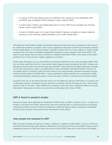- **•** In a group of 379 men seeking care at an infertility clinic, exposure to two phthalates, DEP and DEHP, was correlated to DNA damage in sperm (Hauser 2007).
- **•** A recent study in Mexico associated high levels of urinary DEP and an elevated risk of breast cancer (Lopez-Carrillo 2010).
- **•** A study of children ages 4 to 9 years linked children's behavior problems to higher maternal exposure to low molecular weight phthalates such as DEP (Engel 2010).

Although the human health studies summarized above are small-scale, pilot investigations that need to be confirmed by follow-up research, their results suggest that exposure to DEP may be linked to adverse human health effects. In all of these studies, scientists compare the risk or the incidence of certain health problems with the levels of phthalate metabolites detected in study subjects' urine (Silva 2003). This type of study design does not allow scientists to establish definitively if DEP is the cause of the health problems, but it does provide a highly suggestive correlation.

Unlike other phthalates such as di(2-ethylhexyl) phthalate (DEHP) and di-n-butyl phthalate (DBP), DEP has not shown significant toxicity in any animal model, despite extensive testing (Api 2001). Studies with laboratory animals where mice and rats have been fed DEP in their diets did not detect anatomical changes in the male reproductive system, as established for other phthalates (Howdeshell 2008). However, at the highest levels of exposure, DEP has been linked to liver abnormalities, elevated cholesterol (Sonde 2000) and birth defects (ATSDR 1995). A study published in 2009 reported that a metabolite of DEP, monoethyl phthalate, lowered the sperm counts and sperm motility in exposed animals (Kwack 2009).

Scientists have not as yet determined the reason for the difference between DEP effects in humans and in laboratory animals. Importantly, human exposure is primarily dermal (through the skin), while animal testing is oral (in the diet). These differences in exposure route may have a significant effect on toxicity and genetic interspecies variations may also be a contributing factor (Swan 2008).

#### *DEP is found in people's bodies*

Numerous studies have detected the metabolite of DEP (known as MEP) in people's urine – in males and females of all ages (Silva 2004). Researchers have also detected DEP in human amniotic fluid samples collected during the second trimester of pregnancy, indicating that the fetus is exposed to phthalates during critical windows of hormone-driven development (Silva 2004).

#### *How people are exposed to DEP*

DEP can enter the body through skin contact, inhalation or ingestion (Adibi 2003). A survey of 406 men found that those who had used cologne or aftershave in the previous 48 hours had higher urinary levels of breakdown products of DEP than those who did not (Duty 2005). More than 90 per cent of 163 babies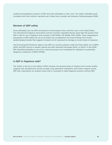studied had breakdown products of DEP and other phthalates in their urine. The infants' phthalate levels correlated with their mothers' reported use of baby lotion, powder and shampoo (Sathyanarayaya 2008).

#### *Reviews of DEP safety*

Some phthalates, but not DEP, are banned in the European Union and from toys in the United States. The International Fragrance Association and the Cosmetic Ingredient Review panel take the position that DEP is safe for use in fragrance and cosmetics (CIR 2009a; CIR 2009b; IFRA 2009). These organizations' assessment of DEP safety has not as yet taken into consideration the recent findings from human epidemiological studies that suggest increased risk for reproductive damage at current levels of exposure.

The Environmental Protection Agency lists DEP as a priority pollutant under the Clean Water Act (USEPA 2002) and DEP toxicity to aquatic species has been reported (Ghorpade 2002; Liu 2002). In late 2009, EPA identified phthalates as one of six chemical groups to be considered for regulation as potentially dangerous substances (USEPA 2009b).

#### *Is DEP in fragrance safe?*

The verdict is still out on the safety of DEP. However, the growing body of evidence from human studies suggests that manufacturers should consider using alternative ingredients until further research proves DEP safe. Importantly, our analysis shows that it is possible to make fragrance products without DEP.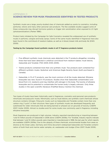#### APPENDIX C: **SCIENCE REVIEW FOR MUSK FRAGRANCES IDENTIFIED IN TESTED PRODUCTS**

Synthetic musks are a large, poorly-studied class of chemicals added as scents to cosmetics, including perfumes, lotions and many other personal care products. The few available studies suggest some of these compounds may disrupt hormone systems or trigger skin sensitization when exposed to UV light (photosensitization) (Parker 1986).

Product tests initiated by the Campaign for Safe Cosmetics revealed the widespread use of synthetic musks in perfume, cologne and body sprays. Some of the same musks identified in fragrances have also been found in the cord blood of newborn babies, as well as in blood, breast milk and body fat (EWG 2009).

#### **Testing by the Campaign found synthetic musks in all 17 fragrance products tested.**

- **•** Five different synthetic musk chemicals were detected in the 17 products altogether, including three that have been detected in umbilical cord blood from newborn babies: musk ketone, Galaxolide and Tonalide (TNO 2005; EWG 2009).
- **•** Twelve products contained more than one synthetic musk. Two products each contained four different synthetic musks: Quiksilver and American Eagle Seventy Seven (both purchased in Canada).
- **•** Galaxolide, in 15 of 17 products, was the most common of all the musks detected. Ethylene brassylate was next, found in 10 products. Studies show that Galaxolide contaminates cord blood from U.S. newborns and may interfere with estrogen in the body. The toxicity of ethylene brassylate and its potential to contaminate the human body is largely unknown. Only three studies in the open scientific literature (PubMed library) mention the chemical.

Two types of musks have been historically used in fragrances, cosmetics and personal care products: nitromusks and polycyclic musks. Nitromusks, such as musk ketone, are synthetic scent chemicals whose structure contains nitrogen. Polycyclic musks such as Galaxolide and Tonalide contain more than one carbon ring ("cycle") in their structure. New types of synthetic musks are developed frequently and substituted for older nitromusks that are being banned or phased out on grounds of toxicity (USEPA 2007; Hutter 2009). Almost no studies exist for some musks now commonly used in fragrance, including ethylene brassylate.

Musk fragrances are produced in high volumes. Industry reported manufacturing or importing between 1 and 10 million pounds of Galaxolide in 2006 alone (USEPA 2009a). For Tonalide, industry reports indicate that between 1 and 10 million pounds were imported or manufactured in 1998, the last year for which reports are available (USEPA 2009a). Due to the ubiquity of these chemicals, environmental studies from areas as diverse as the Great Lakes, Germany and China document widespread Galaxolide and Tonalide contamination of both fresh and marine water samples, air, wastewater and sludge (Chen 2007; Rudel 2006).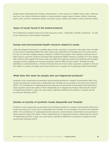Studies report Galaxolide and Tonalide contamination in many species of wildlife: harbor seals, California sea lions, river otters, bottlenose dolphins, striped dolphins, pygmy sperm whales, Atlantic sharpnose shark, mink, common merganser, greater and lesser scaup, mallard and Atlantic salmon (Kannan 2005).

#### *Types of musks found in the tested products*

All 17 fragrances included at least one of the polycyclic musks – Galaxolide, Tonalide, Cashmeran – as well as the macrocyclic musk ethylene brassylate.

#### *Human and environmental health concerns related to musks*

Little toxicological information is available about musks currently in commerce. One report links Tonalide to liver toxicity (Steenberg 1999). But other reports say Galaxolide and Tonalide have low acute toxicity. For lack of currently available adverse evidence, in 2008, the European Union allowed continued use of both musks in consumer products (Summary Risk Assessment 2008). However, a number of in vitro studies with cultured cells suggest that these musks may affect the endocrine system by interfering with estrogen, androgen and/or progesterone hormone receptors (Seinen 1999; Schreurs 2005). Tonalide has been identified as a photosensitizer, a chemical that becomes more toxic when exposed to sunlight on the skin (EU 2008). A number of studies have found musks toxic to aquatic life (Luckenbach 2005; Snell 2009).

#### *What does this mean for people who use fragranced products?*

Synthetic musk compounds are persistent environmental pollutants in aquatic environments. Both nitromusks and polycyclic musks such as Galaxolide and Tonalide can accumulate in the food chain (Dietrich 2004). The combination of widespread human exposure, environmental contamination and persistence raises questions about the safety of their widespread use in fragranced products. Reducing the volume of fragranced products in daily use could make a significant difference to pollution in people and the environment (Roosens 2007).

#### *Studies on toxicity of synthetic musks Galaxolide and Tonalide:*

Synthetic musk compounds are persistent environmental pollutants in aquatic environments. Both nitromusks and polycyclic musks such as Galaxolide and Tonalide can accumulate in the food chain (Dietrich 2004). The combination of widespread human exposure, environmental contamination and persistence raises questions about the safety of their widespread use in fragranced products. Reducing the volume of fragranced products in daily use could make a significant difference to pollution in people and the environment (Roosens 2007).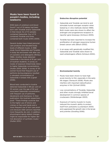# **Musks have been found in people's bodies, including newborns**

EWG tests of umbilical cord blood found 7 out of 10 babies had been born with Tonalide and/or Galaxolide in their blood. Six of 10 samples contained Galaxolide, four of 10 contained Tonalide and three contained both musks (EWG 2009).

Several studies have linked personal care products and elevated body levels of different musks. A 1996 study found Galaxolide and Tonalide in body fat and breast milk after use of cosmetics and detergents (Rimkus 1996). Another study detected Galaxolide in the blood of 91 per cent of Austrian students. A survey on routes of exposure linked body lotion to higher Galaxolide concentrations (Hutter 2005; 2009). A survey of 101 women found that frequent use of perfume during pregnancy resulted in elevated concentrations of Galaxolide in breast milk (Lignell 2008).

Blood tests conducted in Austria detected Galaxolide in 89 per cent of 53 women over the age of 50 and associated Galaxolide concentration with frequent use of perfumes, deodorants and shampoos. In their publication, the Austrian researchers posit: "These findings could be due to the higher use of lotions and crèmes on face and hands and a more frequent use of skin care products because older persons reported more frequently dry skin. In addition, physiological aging related changes might be responsible for higher dermal absorption of synthetic musks." (Hutter 2010)

#### **Endocrine disruption potential**

- **•** Galaxolide and Tonalide can bind to and stimulate human estrogen receptor when tested by in vitro methods (Seinen 1999). Both musks were also shown to affect the androgen and progesterone receptors in reporter gene bioassays (Schreurs 2005).
- Tonalide has been reported to increase the proliferation of estrogen-responsive human breast cancer cells (Bitsch 2002).
- In an assay with genetically modified fish, Galaxolide and Tonalide were shown to exert antiestrogenic effects (Schreurs 2004).

#### **Environmental toxicity**

- **•** Musks have been shown to have high acute toxicity to fish, especially in the early life stages (Yamauchi 2008). Musks also interfere with important detoxification enzymes in fish (Schnell 2009).
- Low concentrations of Tonalide, Galaxolide and other musks strongly inhibited larval development in common species of crustaceans (Wollenberger 2003).
- Exposure of marine mussels to musks reduced the mussel's ability to protect itself from pollutants (Luckenbach 2005) and suppressed the growth rate in the larvae and juveniles (Gooding 2006).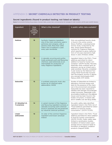# APPENDIX D: **SECRET CHEMICALS DETECTED IN PRODUCT TESTING**

## **Secret ingredients (found in product testing; not listed on labels):**

Source: Environmental Working Group analysis of product labels, product tests commissioned by the Campaign for Safe Cosmetics, and the open scientific literature

| Ingredient                        | <b>How</b><br>many<br>products<br>contain<br>it? | What is this chemical?                                                                                                                                                                            | Is public safety data available?                                                                                                                                                                                                                                                                                                                                                                                                                  |
|-----------------------------------|--------------------------------------------------|---------------------------------------------------------------------------------------------------------------------------------------------------------------------------------------------------|---------------------------------------------------------------------------------------------------------------------------------------------------------------------------------------------------------------------------------------------------------------------------------------------------------------------------------------------------------------------------------------------------------------------------------------------------|
| <b>Hedione</b>                    | 16                                               | Synthetic fragrance ingredient,<br>one of the most commonly used in<br>perfumes and colognes, with a<br>jasmine smell. More than 1,000<br>metric tons of hedione is used<br>every year worldwide. | Only one published toxicity study<br>is found in the online science<br>library PubMed, a developmental<br>toxicity study conducted by the<br>New Jersey-based Research<br>Institute for Fragrance Materials,<br>which reported no gross malforma-<br>tions of rat pups exposed to high<br>doses in utero (Politano 2008).                                                                                                                         |
| <b>Myrcene</b>                    | 16                                               | A naturally occurring and synthe-<br>tically produced scent and flavouring<br>chemical, used extensively as an<br>intermediate for production of<br>many fragrance ingredients.                   | Ingredient listed in the FDA's "Food<br>additives permitted for direct<br>addition to food for human con-<br>sumption" (21CFR 172.515). Myrcene,<br>especially when oxidized upon air<br>exposure, can be an irritant and a<br>weak sensitizer. Recently completed<br>2-year study by the National Toxi-<br>cology Panel found that myrcene<br>had carcinogenic activity in labora-<br>tory animals (Kohicheskia 2007;<br>Matura 2005; NTP 2009). |
| <b>Galaxolide</b>                 | 15                                               | A synthetic polycyclic musk, also<br>known by its chemical name<br>abbreviation, HHCB.                                                                                                            | Studies of Galaxolide are limited to<br>laboratory hormone assays and<br>tests for the presence of the chem-<br>ical in the environment and people.<br>Galaxolide has been reported to<br>interfere with estrogen and androgen<br>(male) hormones. Galaxolide is bio-<br>accumulative (builds up in the adipose<br>tissue) and has been found in the<br>bodies of humans, in breast milk<br>and in wildlife (van der Burg 2008).                  |
| 3,7-dimethyl-1,3,<br>7-octatriene | 14                                               | A variant (isomer) of the fragrance<br>and flavouring ingredient ocimene, a<br>naturally-occurring scent chemical<br>found in essential oils and produced<br>by industrial chemical synthesis.    | No public safety data identified.<br>Ingredient listed in the FDA's list of<br>"Food additives permitted for direct<br>addition to food for human<br>consumption" (21CFR 172.515).                                                                                                                                                                                                                                                                |
| Linalyl<br>anthranilate           | 13                                               | An ester of the common fragrance<br>ingredient and known sensitizer<br>linalool.                                                                                                                  | Ingredient listed in the FDA's "Food<br>additives permitted for direct addition<br>to food for human consumption"<br>(21CFR 172.515). Public safety data<br>limited to sensitization studies.<br>Oxidation of linalool esters upon<br>storage and air exposure leads to<br>formation of allergenic oxidation<br>products (Hagvall 2008).                                                                                                          |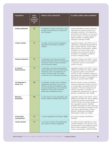| Ingredient                    | <b>How</b><br>many<br>products<br>contain<br>it? | What is this chemical?                                                                                                                                                                                                | Is public safety data available?                                                                                                                                                                                                                                                                                                                                                             |
|-------------------------------|--------------------------------------------------|-----------------------------------------------------------------------------------------------------------------------------------------------------------------------------------------------------------------------|----------------------------------------------------------------------------------------------------------------------------------------------------------------------------------------------------------------------------------------------------------------------------------------------------------------------------------------------------------------------------------------------|
| <b>Diethyl phthalate</b>      | 12                                               | A fragrance solvent commonly used<br>at high concentrations in perfumes<br>and colognes.                                                                                                                              | Diethyl phthalate has been tested for<br>reproductive system impacts and<br>estrogenic activity. The chemical is<br>associated with effects on the repro-<br>ductive system in human epidemio-<br>logical studies, including sperm<br>damage (Hubinger 2008).                                                                                                                                |
| Linalyl acetate               | 11                                               | An ester of the common fragrance<br>ingredient and known sensitizer<br>linalool.                                                                                                                                      | Ingredient listed in the FDA's list of<br>substances "Generally Recognized As<br>Safe" (21CFR 186.20). Public safety<br>data limited to sensitization studies.<br>Oxidation of linalool esters upon<br>storage and air exposure leads to<br>formation of allergenic oxidation<br>products (Hagvall 2008).                                                                                    |
| Gamma-terpinene               | 11                                               | A naturally occurring and synthe-<br>tically produced scent and flavouring<br>chemical, found in many essential<br>oils (Chizzzola 2008).                                                                             | Ingredient listed in the FDA's "Food<br>additives permitted for direct addition<br>to food for human consumption"<br>(21CFR 172.515).                                                                                                                                                                                                                                                        |
| p-cymene<br>(paracymene)      | 11                                               | A naturally occurring and syntheti-<br>cally produced scent and flavouring<br>chemical: used in manufacture of<br>musks. Known under the names<br>p-cymene and p-isopropyl-toluene.                                   | Ingredient listed in the FDA's "Food<br>additives permitted for direct addition<br>to food for human consumption"<br>(21CFR 172.515). Inhalation exposure<br>associated with neurotoxicity (reduced<br>density and number of synapses) in<br>laboratory animals (Bohl 1999).                                                                                                                 |
| 2,6-dimethyl-7-<br>octen-2-ol | 10 <sup>1</sup>                                  | A synthetic solvent and a masking<br>ingredient that does not occur in<br>nature; commonly included in clean-<br>ing and deodorizing (air freshener)<br>products. Also known under its<br>trade name dihydromyrcenol. | Recent industry review of dihydro-<br>myrcenol reported irritation but lack<br>of sensitization associated with this<br>ingredient. Minimal developmental<br>toxicity reported; no studies on<br>mutagenicity, genotoxicity or carcino-<br>genicity conducted (Ham 2009).                                                                                                                    |
| <b>Ethylene</b><br>brassylate | 10                                               | A macrocyclic musk ingredient, also<br>known under the trade name Musk T.                                                                                                                                             | Ingredient listed in the FDA's "Food<br>additives permitted for direct addition<br>to food for human consumption"<br>(21CFR 172.515). Only three studies on<br>this ingredient found in PubMed.<br>Ethylene brassylate has been reported<br>to induce biochemical changes in skin<br>cells, but no genotoxicity or estro-<br>genicity (Abramsson-Zetterberg<br>2002; Bitsch 2002; Kim 2006). |
| 2-tert-butyl<br>cyclohexanol  | 9                                                | A scent ingredient (US Patent 1988).                                                                                                                                                                                  | No toxicity studies identified in<br>PubMed.                                                                                                                                                                                                                                                                                                                                                 |
| t-butyl alcohol               | 8                                                | A common solvent and denaturant;<br>also used as a flavor ingredient.                                                                                                                                                 | No safety studies identified in open<br>scientific literature. FDA lists this com-<br>pound among "Food additives permit-<br>ted for direct addition to food for<br>human consumption" (21CFR 172.515).                                                                                                                                                                                      |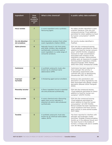| Ingredient                         | <b>How</b><br>many<br>products<br>contain<br>it? | What is this chemical?                                                                                                                                                  | Is public safety data available?                                                                                                                                                                                                                                                                                                                                                                                         |
|------------------------------------|--------------------------------------------------|-------------------------------------------------------------------------------------------------------------------------------------------------------------------------|--------------------------------------------------------------------------------------------------------------------------------------------------------------------------------------------------------------------------------------------------------------------------------------------------------------------------------------------------------------------------------------------------------------------------|
| <b>Hexyl acetate</b>               | $\overline{7}$                                   | A scent ingredient and a synthetic<br>flavouring agent.                                                                                                                 | No safety studies identified in open<br>scientific literature. FDA lists this<br>compound among "Food additives<br>permitted for direct addition to food<br>for human consumption" (21CFR<br>$172.515$ .                                                                                                                                                                                                                 |
| Cis-2,6-dimethyl-<br>2,6-octadiene | $\overline{7}$                                   | Decomposition product from other<br>scent ingredients (Hattori 2004).                                                                                                   | No toxicity studies identified in<br>PubMed.                                                                                                                                                                                                                                                                                                                                                                             |
| Alpha-pinenes                      | 6                                                | Naturally found in oils from pines<br>and other conifers; also produced<br>synthetically; commonly used as<br>scent ingredient in a wide range of<br>consumer products. | FDA lists this compound among<br>"Food additives permitted for direct<br>addition to food for human consum-<br>ption" (21CFR 172.515). Inhalation<br>exposure to high concentrations<br>associated with irritation of the<br>respiratory airways. Alpha-pinenes<br>oxidize upon air exposure to oxygen,<br>forming potent respiratory irritants<br>(Neuenschwander 2010; Nielsen<br>2005; Rohr 2002; Venkatachari 2008). |
| <b>Cashmeran</b>                   | 6                                                | A synthetic polycyclic musk, also<br>known by its chemical name<br>abbreviation DPMI.                                                                                   | Cashmeran has been reported to<br>have estrogen-like activity in<br>in laboratory experiments with<br>cultured cells, but no genotoxicity<br>(Keuekordes 1997; Mori 2007).                                                                                                                                                                                                                                               |
| Isopropyl<br>myristate             | $6*$                                             | A thickening agent and an emollient.                                                                                                                                    | Enhances skin penetration and<br>absorption of other ingredients; has<br>been associated with allergic contact<br>dermatitis (Bharati 2004; Panigrahi<br>2005).                                                                                                                                                                                                                                                          |
| <b>Phenethyl alcohol</b>           | 6                                                | A flavor ingredient found in essential<br>oils and produced synthetically.                                                                                              | FDA lists the compound among<br>"Food additives permitted for direct<br>addition to food for human con-<br>sumption" (21CFR 172.515).                                                                                                                                                                                                                                                                                    |
| <b>Benzyl acetate</b>              | 5                                                | A scent chemical and a flavouring<br>agent that occurs naturally in<br>essential oils and is also produced<br>synthetically.                                            | FDA lists the compound among<br>"Food additives permitted for<br>direct addition to food for human<br>consumption" (21 CFR 172.515).<br>Benzyl acetate has been reported to<br>cause mutations and have carcino-<br>genic activity in some animal studies<br>(NTP 1993).                                                                                                                                                 |
| <b>Tonalide</b>                    | 5                                                | A synthetic polycyclic musk also<br>known by its chemical name abbre-<br>viation, AHTN.                                                                                 | Has been reported to interfere with<br>estrogen and androgen (male)<br>hormones. Tonalide is bioaccumulative<br>(builds up in the adipose tissue) and<br>has been found in the bodies of<br>humans, in breast milk and in wildlife<br>(van der Berg 2008).                                                                                                                                                               |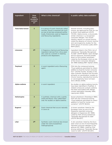| Ingredient               | How<br>many<br>products<br>contain<br>it? | What is this chemical?                                                                                                                                                                          | Is public safety data available?                                                                                                                                                                                                                                                                                                                                                                         |
|--------------------------|-------------------------------------------|-------------------------------------------------------------------------------------------------------------------------------------------------------------------------------------------------|----------------------------------------------------------------------------------------------------------------------------------------------------------------------------------------------------------------------------------------------------------------------------------------------------------------------------------------------------------------------------------------------------------|
| <b>Trans-beta-ionone</b> | 5                                         | In a group of scent chemicals called<br>ionones, found in essential oils such<br>as rose oil and also produced synthe-<br>tically. Extensively used as fragrance<br>and flavouring ingredients. | Several ionones, including beta-<br>ionone, are approved by FDA for use<br>as direct food additives (21CFR<br>172.515). Alpha-ionone, a structurally<br>similar chemical, is a recognized<br>consumer allergen. Two recent<br>industry reports on ionone toxicity<br>noted the absence of chronic toxicity<br>and carcinogenicity studies for the<br>entire group of ionones (Lalko 2007;<br>RIFM 2007). |
| Limonene                 | 3*                                        | A fragrance chemical and flavouring<br>ingredient derived from citrus peel;<br>also used as a solvent in cleaning<br>products and degreasers.                                                   | Ingredient listed in the FDA's list of<br>substances "Generally Recognized<br>As Safe" (21CFR 182.60). Upon storage<br>and air exposure, limonene breaks<br>down to form potent sensitizers.<br>Listed by the European Union as one<br>of the known consumer allergens<br>(EC 1999; Karlberg 1997; Topham 2003).                                                                                         |
| <b>Terpineol</b>         | $\overline{\mathbf{3}}$                   | A scent ingredient and a flavouring<br>agent.                                                                                                                                                   | FDA lists the compound among<br>"Food additives permitted for direct<br>addition to food for human consump-<br>tion" (21CFR 172.515). Studies in the<br>open scientific literature are focused<br>primarily on sensitization; studies on<br>chronic toxicity, reproductive toxicity<br>or carcinogenicity have not been<br>done (Bhatia 2008).                                                           |
| Alpha-cedrene            | $\overline{\mathbf{3}}$                   | A scent ingredient.                                                                                                                                                                             | No studies on alpha-cedrene toxicity<br>have been identified in PubMed. A<br>related compound, acetyle cedrene,<br>has been associated with allergic<br>contact dermatitis (Handley 1994;<br>Lapczynski 2006).                                                                                                                                                                                           |
| Heliotropine             | $\overline{\mathbf{3}}$                   | A synthetic chemical with a vanilla<br>smell and flavour. Also called Piper-<br>onal. No studies on alpha-cedrene.                                                                              | Known phototoxin (Tenenbaum 1984).<br>FDA lists the compound among<br>"Food additives permitted for direct<br>addition to food for human con-<br>sumption" (21CFR 182.60).                                                                                                                                                                                                                               |
| Eugenol                  | $2*$                                      | Scent chemical that occurs naturally<br>in clove oil.                                                                                                                                           | A known sensitizer; listed by the<br>European Union as one of most<br>frequently reported consumer<br>allergens in fragrances (EC 1999).<br>Listed by FDA among substances<br>"Generally Recognized As Safe"<br>(21CFR 184.1257).                                                                                                                                                                        |
| Lilial                   | $2*$                                      | Synthetic scent chemical also known<br>under the name butylphenyl<br>methylpropional.                                                                                                           | A skin sensitizer; listed by the Euro-<br>pean Union as one of most frequently<br>reported consumer allergens in fra-<br>grances (EC 1999). Listed by FDA<br>among substances "Generally Recog-<br>nized As Safe" (21CFR 184.1257).                                                                                                                                                                      |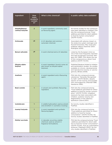| Ingredient                          | <b>How</b><br>many<br>products<br>contain<br>it? | What is this chemical?                                                                    | Is public safety data available?                                                                                                                                                                                                                                                        |
|-------------------------------------|--------------------------------------------------|-------------------------------------------------------------------------------------------|-----------------------------------------------------------------------------------------------------------------------------------------------------------------------------------------------------------------------------------------------------------------------------------------|
| Dimethylbenzyl<br>carbinyl butyrate | $\overline{2}$                                   | A scent ingredient; commonly used<br>as flavouring agent.                                 | No toxicity studies for this compound<br>have been identified in PubMed. FDA<br>lists the compound among "Food<br>additives permitted for direct addition<br>to food for human consumption"<br>(21CFR 172.515).                                                                         |
| <b>Octinoxate</b>                   | $1*$                                             | A UV absorber and common<br>sunscreen chemical.                                           | Associated with adverse impact on<br>the endocrine system (estrogen and<br>thyroid hormones). May cause pho-<br>toallergic effects (Klammer 2007;<br>Rodriguez 2006).                                                                                                                   |
| <b>Benzyl salicylate</b>            | $1*$                                             | A scent chemical and a UV absorber.                                                       | Listed by the European Union as<br>one of the most frequently reported<br>and well-recognized consumer aller-<br>gens (EC 1999). FDA allows the use<br>of this compound as a direct food<br>additive (21CFR 172.515).                                                                   |
| Dihydro-alpha-<br>terpinol          | $\mathbf{1}$                                     | A scent ingredient, found in pine oil;<br>also known as dihydro-alpha-<br>terpineol.      | Published literature limited to irritation<br>and sensitization studies. No studies<br>available on chronic, developmental<br>and reproductive toxicity or carcino-<br>genicity (Bhatia 2008).                                                                                          |
| Anethole                            | $\mathbf{1}$                                     | A scent ingredient and a flavouring<br>agent.                                             | FDA lists this compound among<br>substances "Generally Recognized<br>As Safe" (21CFR 182.60), despite<br>reports of liver toxicity and possible<br>liver carcinogenicity (Marshall 1996;<br>Newberne 1999).                                                                             |
| <b>Butyl acetate</b>                | $\mathbf{1}$                                     | A solvent and synthetic flavouring<br>ingredient.                                         | FDA lists the compound among<br>"Food additives permitted for direct<br>addition to food for human consum-<br>ption" (21CFR 172.515). Inhalation<br>exposure has been associated with<br>irritation, systemic toxicity and<br>degeneration of the olfactory<br>epithelium (David 2001). |
| Isododecane                         | $\mathbf{1}$                                     | A volatile hydrocarbon used as solvent<br>and emollient in cosmetics (CosIng).            | No toxicity studies identified in<br>PubMed.                                                                                                                                                                                                                                            |
| <b>Isoamyl butyrate</b>             | $\mathbf{1}$                                     | A scent ingredient and synthetic<br>flavouring agent.                                     | FDA lists the compound among<br>"Food additives permitted for direct<br>addition to food for human<br>consumption" (21CFR 172.515). No<br>toxicity studies identified in PubMed.                                                                                                        |
| <b>Diethyl succinate</b>            | $\mathbf{1}$                                     | A naturally occurring volatile<br>chemical; used as solvent in<br>fragrance formulations. | FDA lists the compound among "Food<br>additives permitted for direct addi-<br>tion to food for human consumption"<br>(21CFR 172.515). Acts as a permeation<br>enhancer (Takahashi 2002). No tox-<br>icity studies identified in PubMed.                                                 |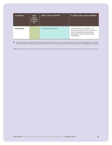| Ingredient         | How<br>many<br>products<br>contain<br>it? | What is this chemical? | Is public safety data available?                                                                                                                           |
|--------------------|-------------------------------------------|------------------------|------------------------------------------------------------------------------------------------------------------------------------------------------------|
| <b>Musk ketone</b> |                                           | A synthetic nitromusk  | Musk ketone accumulates in the<br>bodies of people and in the environ-<br>ment; has been associated with<br>estrogenic effects (Bitsch 2002;<br>TNO 2005). |

**✱** = Asterisk identifies ingredients that were disclosed on the label for some of the tested products. For these ingredients, the number listed in the column "How many products contain it?" is the number of products that did not disclose this ingredient on the label.

Source: Environmental Working Group analysis of product labels, product tests commissioned by the Campaign for Safe Cosmetics, and the open scientific literature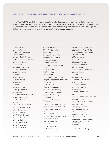#### APPENDIX E: **COMPANIES THAT FULLY DISCLOSE INGREDIENTS**

As of April 5, 2010, the following companies have fully disclosed all ingredients – including fragrance – on their ingredient labels and on EWG's Skin Deep Cosmetics Database as part of their commitment to the Compact for Safe Cosmetics, a pledge of safety and transparency administered by the Campaign for Safe Cosmetics. Learn more by visiting **www.safecosmetics.org/compact**.

*A Mano Bath Acquarella LLC Advanced Cosmetic Technologies African Earth Skincare Afterglow Cosmetics, Inc. Aguacate & Co. Alchemilla Alexami Cosmetics Alima Cosmetics, Inc. Alvin Connor Ltd Amurie Apala Beauty Apriori Beauty Arganat Inc. Aroma 1 Aromaland Inc. Aubrey Organics, Inc. Aurora Nova, LLC Ava Anderson NonToxic Avalon Organics Awa Skin Care B.SOAPURE LLC BABYBEARSHOP, LLC BECAUSE Skin Care, LLC Babo Botanicals Bare Organics Inc. Bath By Bettijo LLC Beauté Minéral Beaute Club Belle's Botanicals Belli Cosmetics Beyond Coastal* 

*Binda Baby Essentials Bloomin' Cosmetics Body Sense Bombastic Aromatics Botanical Skin Works Bottoms Up Pty Ltd Buddha Nose Ltd Bum Boosa Bamboo Baby Wipes CNaturals, Inc. California Baby Castle Baths Cedar Spring Herb Farm Chagrin Valley Soap and Craft Chartreuse, Inc. Classy Minerals CleanWell Company Clovertree Apothecary Coastal Classic Creations Cocoon Apothecary Colorganics, Inc Consonant Body Organic Skincare Cosmetics Without Synthetics Cosmic Tree Essentials Ltd. Cotton Creek Soap and Sundries Daily Essence Dancing Dingo Luxury Soap Dermaviduals USA Destiny Boutique Divine Minerals Divine Response Doctor T's Supergoop!* 

*Dr. Bronner's Magic Soap Earth Mama Angel Baby EO Products/Small World Trading Co Inc. Edamame, Inc. Eden's Kiss Elemental Herbs Elements Naturals Elysian Dream Emily Skin Soothers, Inc Enfusia-Cocoon Enkido Erth Minerals Essence of Wellbeing Eve Organics Ferro Cosmetics Florence Quesnel Aromatherapie French Transit, Ltd For My Kids Garden Girl Natural Skin Care Garden of Eve Generation to Generation Glam-Nation, LLC Glengarry Gardens Gluten Free Beauty Golden Earth Inc. Good for You Girls Green Beauty Cosmetics Greenbody Greenplanet HCGCoach.com LLC Herbaliz* 

*continued on next page…*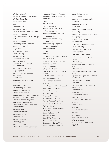*Herban Lifestyle Hippy Heaven Natural Beauty Holistic Body Care Infantbows, LLC Inika Innocent Oils Intelligent Nutrients Iredale Mineral Cosmetics, Ltd. JaDora Cosmetics Jes Collection Health & Beauty, LLC Jess' Bee Natural Jiade Organic Cosmetics Karen's Botanicals Keys, Inc. Khushi Spa Products LUVU Beauty La Vie Celeste Lalabee Bathworks Lash Advance Lauren Brooke Mineral Cosmetiques Les Parfums d'Isabelle Lily Organics, Inc. Little Forest Natural Baby Products Live Native Longhairlovers/ICP Corp. Loriannz Loving Naturals MOM Enterprises, Inc. MadeOn Lotion Bars Maia's Mineral Galaxy MammaMichal Freshly Made All Natural Body Care Products Marie Veronique Organics Max Green Alchemy Ltd. Meadowlake Farm Honeybee Products LLC MendMeShop Mexitan Products MineralFace FX Mixaroma Inc Monet Minerals MoniMay, Inc. Morning Indigo, LLC Motherlove Herbal Company* 

*Mountain Girl Botanics, Ltd. MuLondon Natural Organic Skincare Musq My Lip Stuff My Mama's Love NONTOXIQUE BEAUTY, LLC Naked Soapworks Natural Family Botanicals Natural Formulations Natural Resource Group NaturalCurls Nature's Baby Organics Nature's Boundaries Nature's Pharma Naturity LLC Naturoli Naturopathica Holistic Health Nine Naturals Novena Cosmeceuticals Inc Nurture My Body Nuvo Cosmetics Oblige by Nature Over the Rainbow Lotions & Notions PROVIN Cosmeceuticals Pangea Naturals, Inc. Paul Penders Company Pharmacopia Phat Organics/Aloha Products Pink Quartz Minerals Planet Botanicals Poof's Closet Pristine Recovery Pure Anada Cosmetics Purple Prairie Botanicals RJ Mineral Cosmetics Rejuva Minerals SAXX Mineral Makeup and Organics Salon Naturals, LLC Samantharoma LLC Sensibility Soaps, Inc. Serenity Skincare Shan Image Consulting SheAyurvedics Skin Care* 

*Shea Butter Market Shea-Janee Silver Unicorn Spirit Gifts Skin LLC Skin QR Organics SkinGenX Soap for Goodness Sake Sun Putty SunCat Natural Mineral Makeup SunnyWipes Sweetsation Therapy Swissclinical Symmetry Skin Quenchers TawnaHillBaby Tea Naturals Skin Care Terressentials The Merry Hempsters Trillium Herbal Company Trukid U.P. Bathworks UV Natural International PTY LTD UrbanDetox Verdure Botanoceuticals Skin Care Vysada Inc. Ayurvedic Natural Skin Care W.S. Badger Company Welstar Whole Truth Holistic Health Solutions Wholistic, Inc XANGO, LLC Yellowstone Bees Inc. Zoe Organics Zosimos Botanicals, LLC free of, inc. ibody science lolo levu non toxic skin care radiantLIFE rms beauty suki pure skin care the formulaah thinkbaby and thinksport Weleda*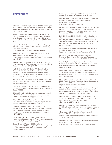#### **REFERENCES**

Abramsson-Zetterberg L, Slanina P. 2002. Macrocyclic musk compounds--an absence of genotoxicity in the Ames test and the in vivo Micronucleus assay. Toxicol Lett. 135(1-2): 155-63.

Adibi JJ, Perera FP, Jedrychowski W, Camann DE, Barr D, Jacek R, et al. 2003. Prenatal exposures to phthalates among women in New York City and Krakow, Poland. Environ Health Perspect 111(14): 1719- 1722.

Agency for Toxic Substances and Disease Registry (ATSDR). 1995. Public Health Statement for Diethyl Phthalate. Available:

http://www.atsdr.cdc.gov/toxprofiles/phs73.html

American Contact Dermatitis Society. 2010. ACDS Allergens of the Year. Available: http://www.contactderm.org/i4a/pages/index.cfm?pa geid=3467

Api AM. 2001. Toxicological profile of diethyl phthalate: a vehicle for fragrance and cosmetic ingredients. Food Chem Toxicol. 39(2):97-108.

Api AM, Basketter DA, Cadby PA, Cano MF, Ellis G, Gerberick GF, Griem P, McNamee PM, Ryan CA, Safford R. Dermal sensitization quantitative risk assessment (QRA) for fragrance ingredients. Regul Toxicol Pharmacol. 2008; 52(1):3-23.

Bharati A, King CM. 2004. Allergic contact dermatitis from isohexadecane and isopropyl myristate. Contact Dermatitis 50(4):256-7.

Bhatia SP, Letizia CS, Api AM. 2008. Fragrance material review on alpha-terpineol. Food Chem Toxicol. 46 Suppl 11:S280-5.

Bhatia SP, McGinty D, Foxenberg RJ, Letizia CS, Api AM. 2008. Fragrance material review on terpineol. Food Chem Toxicol. 46 Suppl 11:S275-9.

Bhatia SP, McGinty D, Letizia CS, Api AM. 2008. Fragrance material review on dihydro-alpha-terpineol. Food Chem Toxicol. 46 Suppl 11:S128-30.

Bitsch N, Dudas C, Körner W, Failing K, Biselli S, Rimkus G, Brunn H. 2002. Estrogenic activity of musk fragrances detected by the E-screen assay using human mcf-7 cells. Arch Environ Contam Toxicol. 43(3): 257-64.

Body Shop Chemicals Policy. 2008. Available: http://www.thebodyshop.com/\_en/\_ww/services/pdfs /Values/BSI\_Chemicals\_Strategy.pdf

Boots Chemical Report. 2005 Available: http://csrchem2005.bootsglobal.com/main.asp?pid=6 99 and http://csrchem2005.bootsglobal.com/ main.asp?pid=708

Bornehag CG, Nanberg E. Phthalate exposure and asthma in children. Int J Androl. 2010 in press.

Breast Cancer Fund. 2008. State of the evidence: the connection between breast cancer and the Environment. Available: http://www.breastcancerfund.org

Buckley DA, Rycroft RJG, White IR, McFadden JP. The frequency of fragrance allergy in patch-tested patients increases with their age. British Journal of Dermatology 2003; 149:986-989.

Buhl D,Roberge DM, Hölderich WF. 1999. Production of p-cymene from α-limonene over silica supported Pd catalysts. Applied Catalysis A: General 188(1-2): 287-299; The Chemistry of Fragrances. 1999. Eds. DH Pybus and CS Sell. Royal Society of Chemistry Cambridge, UK.

Campaign for Safe Cosmetics reports, 2002-2010. For a full list of reports, see http://www.safecosmetics.org/section.php?id=48.

Caress, SM and Steinemann, AC. Prevalence of Fragrance Sensitivity in the American Population. Journal of Environmental Health 2009; 71(7): 46-50.

Caserta D, Maranghi L, Mantovani A, Marci R, Maranghi F, Moscarini M. 2008. Impact of endocrine disruptor chemicals in gynaecology. Hum Reprod Update. 14(1):59-72.

Centers for Disease Control and Prevention (CDC). 2009. Fertility and infertility and the environment. Available: http://ephtracking.cdc.gov/showRbFertility InfertilityEnv.action

Centers for Disease Control and Prevention (CDC). 2009. Fourth National Report on Human Exposure to Environmental Chemicals. Available: http://www.cdc.gov/exposurereport/

Charles AK, Darbre PD. 2009. Oestrogenic activity of benzyl salicylate, benzyl benzoate and butylphenylmethylpropional (Lilial) in MCF7 human breast cancer cells in vitro. J Appl Toxicol 29(5): 422-34.

Chen D, Zeng X, Sheng Y, Bi X, Gui H, Sheng G, Fu J. 2007. The concentrations and distribution of polycyclic musks in a typical cosmetic plant. Chemosphere. 66(2):252-8.

Chizzola R. 2008. Composition of the fruit essential oil of Bupleurum fruticosum grown in southern France. Chemistry of Natural Compounds 44 (6): 792-793.

Christensson JB, Forsström P, Wennberg AM, Karlberg AT, Matura M. Air oxidation increases skin irritation from fragrance terpenes. Contact Dermatitis. 2009; 60(1):32-40.

CosIng: European Commission Inventory of Cosmetic Ingredients. 2009. Available: http://ec.europa.eu/enterprise/cosmetics/cosing/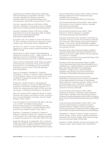Cosmetics and Toiletries Manufacture Worldwide. 2006. Diethylhexyl syringylidene malonate – a new cosmetic ingredient for product protection. Available: http://www.cosmeticsbusiness.com/ story.asp?story code=1076 Accessed March 3, 2010

Cosmetic Ingredient Review (CIR) Panel. 2009a. Cosmetic Ingredients Found Safe as Used. Available: http://www.cir-safety.org/staff\_files/safeasused.pdf

Cosmetic Ingredient Review (CIR) Panel. 2009b. Publications list through December 2009. Available: http://www.cir-safety.org/staff\_files/ PublicationsListDec2009.pdf

David RM, Tyler TR, Ouellette R, Faber WD, Banton MI. 2001. Evaluation of subchronic toxicity of n-butyl acetate vapor. Food Chem Toxicol. 39(8):877-86.

de Groot, A.C. and P.J. Frosch, Adverse reactions to fragrances. A clinical review. Contact Dermatitis, 1997. 36(2): p. 57-86.

Department of Justice Canada. 2010. Regulations Respecting Cosmetics (C.R.C., c. 869), Section 29. (1). Regulation current to 04/06/10. Available: http://laws.justice.gc.ca/en/C.R.C.-c.869/FullText.html

Dietrich DR and Hitzfeld BC. 2004. Bioaccumulation and Ecotoxicity of Synthetic Musks in the Aquatic Environment. In: The Handbook of Environmental Chemistry, volume 3, part X: 233-244 (Springer Berlin/Heidelberg).

Dijoux N, Guingand Y, Bourgeois C, Durand S, Fromageot C, Combe C, Ferret PJ. 2006. Assessment of the phototoxic hazard of some essential oils using modified 3T3 neutral red uptake assay. Toxicol In Vitro. 20(4):480-9.

Dubertret L, Serraf-Tircazes D, Jeanmougin M, Morlière P, Averbeck D, Young AR. 1990. Phototoxic properties of perfumes containing bergamot oil on human skin: photoprotective effect of UVA and UVB sunscreens. J Photochem Photobiol B. 7(2-4):251-9.

Duty SM, Ackerman RM, Calafat AM Hauser R. 2005. Personal care product use predicts urinary concentrations of some phthalate monoesters. Environ Health Perspect 113(11): 1530-5.

Duty SM, Singh NP, Silva MJ, Barr DB, Brock JW, Ryan L, et al. 2003. The Relationship between Environmental Exposures to Phthalates and DNA Damage in Human Sperm Using the Neutral Comet Assay. Environ Health Perspect 111(9): 1164-9.

Elberling J, Linneberg A, Mosbech H, Dirksen A, Frølund L, Madsen F, Nielsen NH, Johansen JD. 2004. A link between skin and airways regarding sensitivity to fragrance products? Br J Dermatol. 151(6): 1197-203.

Engel SM, Miodovnik A, Canfield RL, Zhu C, Silva MJ, Calafat AM, Wolff MS. 2010 Prenatal phthalate exposure is associated with childhood behavior and executive functioning. Environmental Health Perspectives in press.

Environmental News Service. 2010. Unilever Fined for Polluting California Air With Deodorant Spray. Available: http://www.ensnewswire.com/ens/feb2010/2010-02-12-091.html

Environmental Working Group (EWG). 2005. Safety in the Hands of the Cosmetics Industry. Available: http://www.cosmeticsdata base.com/research/industry.php

Environmental Working Group (EWG). 2009. Pollution in Minority Newborns. Available: http://www.ewg.org/minoritycordblood

European Commission (EC) Scientific Committee on Cosmetic Products and Non-Food Products intended for Consumers. 1999. Opinion concerning Fragrance Allergy in Consumers. SCCNFP/0017/98. Available: http://ec.europa.eu/health/ph\_risk/committees/sccp/s ccp\_opinions\_en.htm

European Union Risk Assessment Report. 2008a.1- (5,6,7,8-TETRAHYDRO-3,5,5,6,8,8-HEXAMETHYL-2- NAPHTHYL)ETHAN-1-ONE (AHTN) CAS No: 1506-02- 1 or 21145-77-7. Available: http://ecb.jrc.ec.europa.eu/home.php?CONTENU=/DO CUMENTS/Existing-Chemicals/

European Union Risk Assessment Report. 2008b. 1,3,4,6,7,8-HEXAHYDRO-4,6,6,7,8,8-HEXAMETHYLCY-CLOPENTA-γ-2- BENZOPYRAN (1,3,4,6,7,8-HEXAHY-DRO-4,6,6,7,8,8-HEXAMETHYLIN-DENO[5,6- C]PYRAN - HHCB) CAS No: 1222-05-52008. Available: http://ecb.jrc.ec.europa.eu/home.php? CONTENU=/DOCUMENTS/Existing-Chemicals/

European Parliament and Council Directive 2003/15/EC, amending Council Directive 76/768/EEC on the approximation of the laws of the Member States relating to cosmetic products. Official Journal of the European Union L 66/26-35. Available: http://www.safecosmetics.org/downloads/EU-Cosmetics-Directive\_2003.pdf

Food and Drug Administration (FDA). 2004. Guidance for Industry: Frequently Asked Questions About GRAS. Available: http://www.fda.gov/Food/ GuidanceComplianceRegulatoryInformation/Guidance Documents/FoodIngredientsandPackaging/ucm06184 6.htm

Food and Drug Administration (FDA). 2007. Food And Drug Administration Compliance Program Guidance Manual. Available: http://www.fda.gov/ downloads/Cosmetics/GuidanceComplianceRegulator yInformation/ComplianceEnforcement/ucm073356.pdf

Ghorpade N, V Mehta, M Khare, P Sinkar, S Krishnan, and RC Vaman. Toxicity study of diethyl phthalate on freshwater fish Cirrhina mrigala. 2002. Ecotoxicology and Environmental Safety 53:255-258.

Giudice LC. 2006. Infertility and the environment: the medical context. Semin Reprod Med. 24(3):129-33.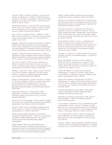Gomez E, Pillon A, Fenet H, Rosain D, Duchesne MJ, Nicolas JC, Balaguer P, Casellas C. 2005. Estrogenic activity of cosmetic components in reporter cell lines: parabens, UV screens, and musks. J Toxicol Environ Health A. 68(4): 239-51.

Gooding MP, Newton TJ, Bartsch MR, Hornbuckle KC. 2006. Toxicity of synthetic musks to early life stages of the freshwater mussel Lampsilis cardium. Arch Environ Contam Toxicol 51(4): 549-58.

Gray J, Evans N, Taylor B, Rizzo J, Walker M. 2009. State of the evidence: the connection between breast cancer and the environment. Int J Occup Environ Health. 15(1): 43-78.

Hagvall L, Backtorp C, Svensson S, Nyman G, Borje A, Karlberg AT. 2007. Fragrance compound geraniol forms contact allergens on air exposure. Identification and quantification of oxidation products and effect on skin sensitization. Chem Res Toxicol 20(5): 807-14.

Hagvall L, Skold M, Brared-Christensson J, Borje A, Karlberg AT. 2008. Lavender oil lacks natural protection against autoxidation, forming strong contact allergens on air exposure. Contact Dermatitis 59(3): 143-50.

Ham JE and Wells R. 2009. Surface chemistry of dihydromyrcenol (2,6-dimethyl-7-octen-2-ol) with ozone on silanized glass, glass, and vinyl flooring tiles. Atmospheric Environment 43(26): 4023-4032.

Handley J, Burrows D. 1994. Allergic contact dermatitis from the synthetic fragrances Lyral and acetyl cedrene in separate underarm deodorant preparations. Contact Dermatitis 31(5):288-90.

Hattori S, Kawaharada C, Tazaki H, Fujimori T, Kimura K, Ohnishi M, Nabeta K. 2004. Formation Mechanism of 2,6-Dimethyl-2,6-Octadienes from Thermal Decomposition of Linalyl β-D-Glucopyranoside. Bioscience, Biotechnology, and Biochemistry 68(12): 2656-2659.

Hausen BM, Reichling J, Harkenthal M. 1999. Degradation products of monoterpenes are the sensitizing agents in tea tree oil. Am J Contact Dermat 10(2):68-77

Hauser R, et al. DNA damage in human sperm is related to urinary levels of phthalate monoester and oxidative metabolites. Hum Reprod. 2007;22(3):688-95.

Hauser R. 2008. Urinary phthalate metabolites and semen quality: a review of a potential biomarker of susceptibility. Int J Androl. 31(2):112-7.

Health Canada. 2008. Regulatory Amendment Frequently Asked Questions – Industry. Last updated 12/19/08. Available: http://www.hc-sc.gc.ca/cpsspc/person/cosmet/ingredient/faq\_industeng.php#a14

Health Canada. 2009. List of Prohibited and Restricted Cosmetic Ingredients (The Cosmetic Ingredient Hotlist). Last updated 10/23/09. Available: http://www.hc-sc.gc.ca/cps-spc/person/cosmet/infoind-prof/\_hot-list-critique/prohibited-eng.php.

Health Canada. 2009b. Personal correspondence regarding Cosmetic Ingredient Hotlist. 03/02/09.

Heindel JJ, vom Saal FS. 2009. Role of nutrition and environmental endocrine disrupting chemicals during the perinatal period on the aetiology of obesity. Mol Cell Endocrinol 304(1-2):90-6.

Hotchkiss AK, Rider CV, Blystone CR, Wilson VS, Hartig PC, Ankley GT, Foster PM, Gray CL, Gray LE. 2008. Fifteen years after "Wingspread"--environmental endocrine disrupters and human and wildlife health: where we are today and where we need to go. Toxicol Sci. 105(2): 235-59

Howdeshell KL, Wilson VS, Furr J, Lambright CR, Rider CV, Blystone CR, Hotchkiss AK, Gray LE Jr. 2008. A mixture of five phthalate esters inhibits fetal testicular testosterone production in the Sprague-Dawley rat in a cumulative, dose-additive manner. Toxicol Sci. 105(1): 153-65.

Hubinger JC, Havery DC. 2006. Analysis of consumer cosmetic products for phthalate esters. J Cosmet Sci. 57(2): 127-37.

Hutter HP, Wallner P, Hartl W, Uhl M, Lorbeer G, Gminski R, Mersch-Sundermann V, Kundi M. 2010. Higher blood concentrations of synthetic musks in women above fifty years than in younger women. Int J Hyg Environ Health in press.

Hutter HP, Wallner P, Moshammer H, Hartl W, Sattelberger R, Lorbeer G, Kundi M. 2005. Blood concentrations of polycyclic musks in healthy young adults. Chemosphere. 59(4): 487-92.

Hutter, HP, P Wallner, H Moshammer, W Hartl, R Sattelberger, G Lorbeer and M Kundi. 2009. Synthetic musks in blood of healthy young adults: Relationship to cosmetics use. Science of the Total Environment 407:4821-4825.

International Fragrance Association. 2009. IFRA position statement on diethyl phthalate (DEP). Available: http://www.ifraorg.org/

International Fragrance Association. 2010. Index of IFRA Standards – 44th Amendment Available: http://www.ifraorg.org/

Inui M, Adachi T, Takenaka S, Inui H, Nakazawa M, Ueda M, Watanabe H, Mori C, Iguchi T, Miyatake K. 2003. Effect of UV screens and preservatives on vitellogenin and choriogenin production in male medaka (Oryzias latipes). Toxicology. 2003 Dec 15;194(1-2):43-50.

Ito N, Fukushima S, Tsuda H. 1985. Carcinogenicity and modification of the carcinogenic response by BHA, BHT, and other antioxidants. Crit Rev Toxicol. 15(2):109-50.

Jansson, T. and M. Loden, Strategy to decrease the risk of adverse effects of fragrance ingredients in cosmetic products. Am J Contact Dermat, 2001. 12(3): p. 166-9.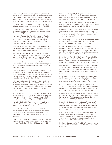Johansen J, Menne T, Christophersen J, Kaaber K, Veien N. 2000. Changes in the pattern of sensitization to common contact allergens in Denmark between 1985-86 and 1997-98, with a special view to the effect of preventive strategies. Br J Dermatol 142(3): 490-5.

Johansen, JD. 2003. Fragrance contact allergy: A clinical review. Am J Clin Dermatol 4(11): 789-798.

Jugan ML, Levi Y, Blondeau JP. 2010. Endocrine disruptors and thyroid hormone physiology. Biochem Pharmacol 79(7):939-47.

Kannan K. Reineer JL, Yun SH. Perotta EE, Tao L, Johnson-Restrepo B, Rodan BD. 2005. Polycyclic musk compounds in higher trophic level aquatic organisms and humans from the United States. Chemosphere 61: 693–700.

Karlberg AT, Dooms-Goossens A. 1997. Contact allergy to oxidized d-limonene among dermatitis patients. Contact Dermatitis 36(4): 201-6.

Karlberg AT, Bergstrom MA, Borje A, Luthman K, Nilsson JL. 2008. Allergic contact dermatitis--formation, structural requirements, and reactivity of skin sensitizers. Chem Res Toxicol 21(1): 53-69.

Kevekordes S, Mersch-Sundermann V, Diez M, Dunkelberg H. 1997. In vitro genotoxicity of polycyclic musk fragrances in the micronucleus test. Mutat Res. 395(2-3):145-50.

Kim SH, Nam GW, Lee HK, Moon SJ, Chang IS. 2006. The effects of Musk T on peroxisome proliferatoractivated receptor [PPAR]-alpha activation, epidermal skin homeostasis and dermal hyaluronic acid synthesis. Arch Dermatol Res. 298(6): 273-82.

Klammer H, Schlecht C, Wuttke W, Schmutzler C, Gotthardt I, Köhrle J, Jarry H. 2007. Effects of a 5-day treatment with the UV-filter octyl-methoxycinnamate (OMC) on the function of the hypothalamo-pituitarythyroid function in rats. Toxicology. 2007 Sep 5;238(2-3):192-9.

Kolicheskia MB, Coccob LC, Mitchell DA, Kaminski M. 2007. Synthesis of myrcene by pyrolysis of β-pinene: Analysis of decomposition reactions. Journal of Analytical and Applied Pyrolysis 80(1): 92-100.

Kunz PY, Galicia HF, Fent K. 2006. Comparison of in vitro and in vivo estrogenic activity of UV filters in fish. Toxicol Sci 90(2): 349-361.

Kwack SJ, Kim KB, Kim HS, Lee BM. 2009. Comparative toxicological evaluation of phthalate diesters and metabolites in Sprague-Dawley male rats for risk assessment. J Toxicol Environ Health A. 72(21-22): 1446-54.

Lalko J, Lapczynski A, McGinty D, Bhatia S, Letizia CS, Api AM. 2007. Fragrance material review on trans-betaionone. Food Chem Toxicol. 45 Suppl 1:S248-50.

Lam HR, Ladefoged O, Ostergaard G, Lund SP, Simonsen L. 1996. Four weeks' inhalation exposure of rats to p-cymene affects regional and synaptosomal neurochemistry. Pharmacol Toxicol. 79(5): 225-30.

Lapczynski A, Isola DA, Christian MS, Diener RM, Api AM. 2006. Evaluation of the developmental toxicity of acetyl cedrene. Int J Toxicol. 25(5): 423-8.

Låstbom L, Boman A, Johnsson S, Camner P, Ryrfeldt A. Increased airway responsiveness of a common fragrance component, 3-carene, after skin sensitisation --a study in isolated guinea pig lungs. Toxicol Lett. 2003; 145(2):189-96.

Li R. and Jiang JT. 2004. Chemical composition of the essential oil of Cuminum cyminum L. from China. Flavour and Fragrance Journal 19 (4): 311–313.

Lignell S, Darnerud PO, Aune M, Cnattingius S, Hajslova J, Setkova L, Glynn A. 2008. Temporal trends of synthetic musk compounds in mother's milk and associations with personal use of perfumed products. Environ Sci Technol. 42(17): 6743-8.

Liu Y, Guan Y, Yang Z, Cai Z, Mizuno T, Tsuno H, Zhu W, Zhang X. 2002. Toxicity of seven phthalate esters to embryonic development of the abalone Haliotis diversicolor supertexta. Ecotoxicology 18(3): 293-303.

López-Carrillo L, Hernández-Ramírez RU, Calafat AM, Torres-Sánchez L, Galván-Portillo M, Needham LL, et al. 2010. Exposure to Phthalates and Breast Cancer Risk in Northern Mexico. Environ Health Perspect in press.

Luckenbach T, Epel D. 2005. Nitromusk and polycyclic musk compounds as long-term inhibitors of cellular xenobiotic defense systems mediated by multidrug transporters. Environ Health Perspect. 113(1): 17-24.

Ma RS, Cotton B, Lichtensteiger W, Schlumpf M. 2003. UV filters with antagonistic action at androgen receptors in the MDA-kb2 cell transcriptional-activation assay. Toxicological Sciences 74(1): 43-50.

Main KH, et al. Human breast milk contamination with phthalates and alterations of endogenous reproductive hormones in infants three months of age. Environ Health Perspect 2006;114(2):270-6.

Marshall AD, Caldwell J. 1996. Lack of influence of modulators of epoxide metabolism on the genotoxicity of trans-anethole in freshly isolated rat hepatocytes assessed with the unscheduled DNA synthesis assay. Food Chem Toxicol. 34(4): 337-45.

Matura M, Sköld M, Börje A, Andersen KE, Bruze M, Frosch P, Goossens A, Johansen JD, Svedman C, White IR, Karlberg AT. 2005. Selected oxidized fragrance terpenes are common contact allergens. Contact Dermatitis 52(6): 320-8

McGinty D, Letizia CS, Api AM. 2010. Fragrance material review on dihydromyrcenol. Food Chem Toxicol. 48 Suppl 3:S70-5.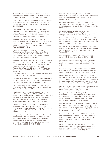Mendell MJ. Indoor residential chemical emissions as risk factors for respiratory and allergic effects in children: a review. Indoor Air. 2007; 17(4):259-77.

Mori T, Iida M, Ishibashi H, Kohra S, Takao Y, Takemasa T, Arizono K. 2007. Hormonal activity of polycyclic musks evaluated by reporter gene assay. Environ Sci. 14(4):195-202.

Nakagawa Y, Suzuki T. 2002. Metabolism of 2 hydroxy-4-methoxybenzophenone in isolated rat hepatocytes and xenoestrogenic effects of its metabolites on MCF-7 human breast cancer cells. Chemico-Biological Interactions 139(2): 115-128.

National Toxicology Program (NTP). 1992. NTP Technical Report on Toxicity Studies of 2-Hydroxy-4 methoxybenzophenone (CAS Number: 131-57-7) Administered Topically and in Dosed Feed to F344/N Rats and B6C3F1 Mice.

National Toxicology Program (NTP). 1993. NTP Toxicology and Carcinogenesis Studies of Benzyl Acetate (CAS No. 140-11-4) in F344/N Rats and B6C3F1 Mice Feed Studies). Natl Toxicol Program Tech Rep Ser. 1993 Sep;431:1-285.

National Toxicology Panel (NTP). 2009. NTP technical report on the toxicology and carcinogenesis studies of β-myrcene (CAS no. 123-35-3) in F344/n rats and B6C3F1 mice (gavage studies). Scheduled Peer Review Date: February 25, 2009. DRAFT Technical Report. NTP TR 557 NIH Publication No. 09-5898. Available:

http://ntp.niehs.nih.gov/index.cfm?objectid=F44C400 D-F1F6-975E-7058AFF96EAA63E2

Nazaroff WW, Weschler CJ. 2004. Cleaning products and air fresheners: exposure to primary and secondary air pollutants. Atmos Environ 38(18):2841–65.

Neuenschwander U, Guignard F, Hermans I. 2010. Mechanism of the aerobic oxidation of alpha-pinene. ChemSusChem. 3(1): 75-84.

Newberne P, Smith RL, Doull J, Goodman JI, Munro IC, Portoghese PS, Wagner BM, Weil CS, Woods LA, Adams TB, Lucas CD, Ford RA. 1999. The FEMA GRAS assessment of trans-anethole used as a flavouring substance. Flavour and Extract Manufacturer's Association. Food Chem Toxicol. 37(7): 789-811.

Nielsen GD, Larsen ST, Hougaard KS, Hammer M, Wolkoff P, Clausen PA, Wilkins CK, Alarie Y. 2005. Mechanisms of acute inhalation effects of (+) and (-) alpha-pinene in BALB/c mice. Basic Clin Pharmacol Toxicol. 96(6):420-8.

Panigrahi L, Pattnaik S, Ghosal SK. The Effect of pH and Organic Ester Penetration Enhancers on Skin Permeation Kinetics of Terbutaline Sulfate From Pseudolatex-Type Transdermal Delivery Systems Through Mouse and Human Cadaver Skins. AAPS PharmSciTech. 2005; 6(2): E167-E173.

Parker RD, Buehler EV, Newmann EA. 1986. Phototoxicity, photoallergy, and contact sensitization of nitro musk perfume raw materials. Contact Dermatitis. 14(2):103-9.

Peck AM, Linebaugh EK, Hornbuckle KC. 2006. Synthetic Musk Fragrances in Lake Erie and Lake Ontario Sediment Cores. Environ Sci Technol. 40(18): 5629–5635.

Placzek M, Frömel W, Eberlein B, Gilbertz KP, Przybilla B. 2007. Evaluation of phototoxic properties of fragrances. Acta Derm Venereol. 87(4): 312-6.

Politano VT, Lewis EM, Hoberman AM, Christian MS, Diener RM, Api AM. 2008. Evaluation of the developmental toxicity of methyl dihydrojasmonate (MDJ) in rats. Int J Toxicol. 27(3):295-300.

Politano VT, Lewis EM, Hoberman AM, Christian MS, Diener RM, Api AM. 2009. Evaluation of the developmental toxicity of dihydromyrcenol in rats. Int J Toxicol. 28(2):80-7.

Prins GS. 2008. Endocrine disruptors and prostate cancer risk. Endocr Relat Cancer. 15(3):649-56.

Rastogi SC, Johansen JD, Menne T. 1996. Natural ingredients based cosmetics. Content of selected fragrance sensitizers. Contact Dermatitis. 34(6): 423-6.

Reiner JL, Wong CM, Arcaro KF, Kannan K. 2007. Synthetic musk fragrances in human milk from the United States. Environ Sci Technol. 41(11): 3815-20.

RIFM Expert Panel, Belsito D, Bickers D, Bruze M, Calow P, Greim H, Hanifin JM, Rogers AE, Saurat JH, Sipes IG, Tagami H. 2007. A toxicologic and dermatologic assessment of ionones when used as fragrance ingredients. Food Chem Toxicol. 45 Suppl 1:S130-67.

Rimkus, G.G. and M. Wolf, Polycyclic musk fragrances in human adipose tissue and human milk. Chemosphere, 1996. 33(10): p. 2033-43.

Rodriguez E, Valbuena MC, Rey M, Porras de Quintana L. 2006. Causal agents of photoallergic contact dermatitis diagnosed in the national institute of dermatology of Colombia. Photodermatol Photoimmunol Photomed 22(4): 189-192.

Rohr AC, Wilkins CK, Clausen PA, Hammer M, Nielsen GD, Wolkoff P, Spengler JD. 2002. Upper airway and pulmonary effects of oxidation products of (+)-alphapinene, d-limonene, and isoprene in BALB/c mice. Inhal Toxicol. 14(7): 663-84.

Roosens L, Covaci A, Neels H. 2007. Concentrations of synthetic musk compounds in personal care and sanitation products and human exposure profiles through dermal application. Chemosphere 69: 1540–1547.

Rüdel H, Böhmer W, Schröter-Kermani C. 2006. Retrospective monitoring of synthetic musk compounds in aquatic biota from German rivers and coastal areas. J Environ Monit. 8(8): 812-23.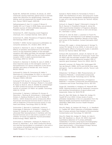Rudel RA, Attfield KR, Schifano JN, Brody JG. 2007. Chemicals causing mammary gland tumors in animals signal new directions for epidemiology, chemicals testing, and risk assessment for breast cancer prevention. Cancer 109(12 Suppl): 2635-66.

Sathyanarayana S, Karr CJ, Lozano P, Brown E, Calafat AM, Liu F, Swan S. 2008. Baby care products: Possible sources of infant phthalate exposure. Pediatrics 121(2): e260-e268.

Scheinman PL. 2001. Exposing covert fragrance chemicals. Am J Contact Dermat. 12(4): 225-8.

Scheinman PL. 2002. Prevalence of fragrance allergy. Dermatology 205(1): 98-102.

Schettler T. 2006. Human exposure to phthalates via consumer products. Int J Androl. 29(1): 134-9.

Schlecht C, Klammer H, Jarry H, Wuttke W. 2004. Effects of estradiol, benzophenone-2 and benzophenone-3 on the expression pattern of the estrogen receptors (ER) alpha and beta, the estrogen receptorrelated receptor 1 (ERR1) and the aryl hydrocarbon receptor (AhR) in adult ovariectomized rats. Toxicology. 205(1-2): 123-30.

Schlecht C, Klammer H, Wuttke W, Jarry H. 2006. A dose-response study on the estrogenic activity of benzophenone-2 on various endpoints in the serum, pituitary and uterus of female rats. Arch Toxicol. 80(10): 656-61.

Schlumpf M, Cotton B, Conscience M, Haller V, Steinmann B, Lichtensteiger W. 2001. In vitro and in vivo estrogenicity of UV screens. Environ Health Perspect 109(3): 239-244.

Schlumpf M SP, Durrer S, Conscience M, Maerkel K, Henseler M, Gruetter M, Herzog I, Reolon S, Ceccatelli R, Faass O, Stutz E, Jarry H, Wuttke W, Lichtensteiger W. 2004. Endocrine activity and developmental toxicity of cosmetic UV filters--an update. Toxicology 205(1-2): 113-122.

Schmutzler C, Hamann I, Hofmann PJ, Kovacs G, Stemmler L, Mentrup B, Schomburg L, Ambrugger P, Grüters A, Seidlova-Wuttke D, Jarry H, Wuttke W, Köhrle J. 2004. Endocrine active compounds affect thyrotropin and thyroid hormone levels in serum as well as endpoints of thyroid hormone action in liver, heart and kidney. Toxicology 205(1-2): 95-102.

Schmutzler C, Bacinski A, Gotthardt I, Huhne K, Ambrugger P, Klammer H, Schlecht C, Hoang-Vu C, Grüters A, Wuttke W, Jarry H, Köhrle J. 2007.The ultraviolet filter benzophenone 2 interferes with the thyroid hormone axis in rats and is a potent in vitro inhibitor of human recombinant thyroid peroxidase. Endocrinology 148(6): 2835-44.

Schmutzler C, Gotthardt I, Hofmann PJ, Radovic B, Kovacs G, Stemmler L, et al. 2007. Endocrine disruptors and the thyroid gland--a combined in vitro and in vivo analysis of potential new biomarkers. Environ Health Perspect 115 Suppl 1: 77-83.

Schnell S, Martin-Skilton R, Fernandes D, Porte C. 2009. The interference of nitro- and polycyclic musks with endogenous and xenobiotic metabolizing enzymes in carp: an in vitro study. Environ Sci Technol. 43(24): 9458-64.

Schnuch A, Oppel E, Oppel T, Römmelt H, Kramer M, Riu E, Darsow U, Przybilla B, Nowak D, Jörres RA. 2010. Experimental inhalation of fragrance allergens in predisposed subjects: effects on skin and airways. Br J Dermatol. in press.

Schnuch A, Uter W, Geier J, Lessman H, Frosch PJ. Sensitization to 26 fragrances to be labeled according to current European regulation: Results of the IVDK and review of the literature. Contact Dermatitis 2007 57: 1-10.

Schreurs RH, Legler J, Artola-Garicano E, Sinnige TL, Lanser PH, Seinen W, et al. 2004. In vitro and in vivo antiestrogenic effects of polycyclic musks in zebrafish. Environ Sci Technol 38(4): 997-1002.

Schreurs RH, Sonneveld E, Jansen JH, Seinen W, van der Burg B. 2005. Interaction of polycyclic musks and UV filters with the estrogen receptor (ER), androgen receptor (AR), and progesterone receptor (PR) in reporter gene bioassays. Toxicol Sci. 83(2): 264-72.

SeinenW, Lemmen JG, Pieters RH, Verbruggen EM, Van der Burg B. (1999). AHTN and HHCB show weak estrogenic – but no uterotrophic activity. Toxicol. Lett. 111, 161–168.

Shibamoto T & Mihara S. 1983. Photochemistry of Fragrance Materials. I. Unsaturated Compounds. Cutaneous and Ocular Toxicology 2(2-3): 153-192.

Shibamoto T. 1983. Photochemistry of Fragrance Materials. II. Aromatic Compounds and Phototoxicity. Cutaneous and Ocular Toxicology 2(4-5): 267-375

Singer BC, Destaillats H, Hodgson AT, Nazaroff WN. 2006. Cleaning products and air fresheners: emissions and resulting concentrations of glycol ethers and terpenoids. Indoor Air 16(3):179–91.

Silva MJ, Barr DB, Reidy JA, Malek NA, Hodge CC, Caudill SP, et al. 2004. Urinary levels of seven phthalate metabolites in the U.S. population from the National Health and Nutrition Examination Survey (NHANES) 1999-2000. Environ Health Perspect 112(3): 331-8.

Silva MJ, Reidy JA, Herbert AR, Preau JL, Jr., Needham LL, Calafat AM. 2004. Detection of phthalate metabolites in human amniotic fluid. Bulletin of Environmental Contamination and Toxicology 72: 1226-1231.

Silva MJ, Malek NA, Hodge CC, Reidy JA, Kato K, Barr DB, Needham LL, Brock JW. 2003. Improved quantitative detection of 11 urinary phthalate metabolites in humans using liquid chromatographyatmospheric pressure chemical ionization tandem mass spectrometry. J Chromatogr B Analyt Technol Biomed Life Sci. 789(2): 393-404.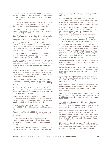Skold M, Hagvall L, Karlberg AT. 2008. Autoxidation of linalyl acetate, the main component of lavender oil, creates potent contact allergens. Contact Dermatitis 58(1): 9-14.

Sonde V, et al. Simultaneous administration of diethyl phthalate and ethyl alcohol and its toxicity in male Sprague-Dawley rats. Toxicology 2000;19:23-31.

Søndergaard D and Olsen P. 1982. The effect of butylated hydroxytoluene (BHT) on the rat thyroid Toxicology Letters 10(2-3): 239-244.

Soto AM, Rubin BS, Sonnenschein C. 2009. Interpreting endocrine disruption from an integrative biology perspective. Mol Cell Endocrinol 304(1-2):3-7.

Steinberg P, Fischer T, Arand M, Park E, Elmadfa I, Rimkus G, Brunn H, Dienes HP. (1999). Acute hepatotoxicity of the polycyclic musk 7-acetyl-1,1,3,4,4,6 hexamethyl-1,2,3,4-tetrahydronaphtaline (AHTN). Toxicol Lett.,111(1-2), pp151-60.

Steinemann AC. 2009. Fragranced consumer products and undisclosed ingredients. Environmental Impact Assessment Review 29: 32-38.

Suzuki T, Kitamura S, Khota R, Sugihara K, Fujimoto N, Ohta S. 2005. Estrogenic and antiandrogenic activities of 17 benzophenone derivatives used as UV stabilizers and sunscreens. Toxicology and Applied Pharmacology 203: 9-17

Swan SH, Main KM, Liu F, Stewart SL, Kruse RL, Calafat AM, et al. 2005. Decrease in anogenital distance among male infants with prenatal phthalate exposure. Environ Health Perspect 113(8):1056-61.

Swan SH. 2008. Environmental phthalate exposure in relation to reproductive outcomes and other health endpoints in humans. Environmental Research 108(2): 177-84.

Takahashi K, Sakano H, Numata N, Kuroda S, Mizuno N. 2002. Effect of fatty acid diesters on permeation of anti-inflammatory drugs through rat skin. Drug Dev Ind Pharm. 28(10): 1285-94.

Tenenbaum S, DiNardo J, Morris WE, Wolf BA, Schnetzinger RW. 1984. A quantitative in vitro assay for the evaluation of phototoxic potential of topically applied materials. Cell Biol Toxicol. 1(1): 1-9.

TNO. Man-made chemicals in maternal and cord blood. 2005, TNO Built Environment and Geosciences: Apeldoorn, The Netherlands.

Topham EJ, Wakelin SH. 2003. D-Limonene contact dermatitis from hand cleansers. Contact Dermatitis. 49(2): 108-9.

U.S. Environmental Protection Agency (USEPA). 2002. Code of Federal Regulation Title 40: Protection of Environment Appendix A to Part 423—126 Priority Pollutants.

U.S. Environmental Protection Agency (USEPA). 2005. Guidelines for Carcinogen Risk Assessment, April 2005, http://cfpub.epa.gov/ncea/cfm/recordisplay.cfm?deid =116283

U.S. Environmental Protection Agency (USEPA). 2007a. Prioritized chronic dose-response values for screening risk assessments, Table 1, June 12, 2007. http://www.epa.gov/ttn/atw/toxsource/summary.html

U.S. Environmental Protection Agency (USEPA). 2007b. Development of Analytical Methods for the Identification of Synthetic Musk Compounds in Environmental Samples. Available: http://www.epa.gov/ppcp/projects/synthetic.html

U.S. Environmental Protection Agency (USEPA). 2009a. Inventory Update Reporting (IUR) Data for 2006. Available: http://www.epa.gov/iur/

U.S. Environmental Protection Agency (USEPA). 2009b. EPA Announces Actions to Address Chemicals of Concern, Including Phthalates: Agency continues efforts to work for comprehensive reform of toxic substance laws. Press Release 12/30/2009. Available: http://yosemite.epa.gov/OPA/ADMPRESS.NSF/d0cf66 18525a9efb85257359003fb69d/2852c60dc0f65c688 525769c0068b219!OpenDocument

United States Patent 4751214. 1988. Use of 2-tert-butyl-4-methylcyclohexanol as a scent and as a component of scent compositions.

van der Burg B, Schreurs R, van der Linden S, Seinen W, Brouwer A, Sonneveld E. 2008. Endocrine effects of polycyclic musks: do we smell a rat? Int J Androl 31(2): 188-93

van Oosten EJ, Schuttelaar ML, Coenraads PJ. 2009. Clinical relevance of positive patch test reactions to the 26 EU-labelled fragrances. Contact Dermatitis 61(4): 217-23.

Venkatachari P, Hopke PK. 2008. Characterization of products formed in the reaction of ozone with alphapinene: case for organic peroxides. J Environ Monit. 10(8): 966-74.

Wolff MS, Engel SM, Berkowitz GS, Ye X, Silva MJ, Zhu C, et al. 2008. Prenatal phenol and phthalate exposures and birth outcomes. Environmental health perspectives 116(8): 1092.

Wollenberger L, Breitholtz M, Ole Kusk K, Bengtsson BE. 2003. Inhibition of larval development of the marine copepod Acartia tonsa by four synthetic musk substances. Sci Total Environ 305(1-3): 53-64.

Yamauchi R, Ishibashi H, Hirano M, Mori T, Kim JW, Arizono K. 2008. Effects of synthetic polycyclic musks on estrogen receptor, vitellogenin, pregnane X receptor, and cytochrome P450 3A gene expression in the livers of male medaka (Oryzias latipes). Aquat Toxicol. 90(4):261-8.

Ziolkowska A, Belloni AS, Nussdorfer GG, Nowak M, Malendowicz LK. 2006. Endocrine disruptors and rat adrenocortical function: studies on freshly dispersed and cultured cells. Int J Mol Med 18(6): 1165-1168.